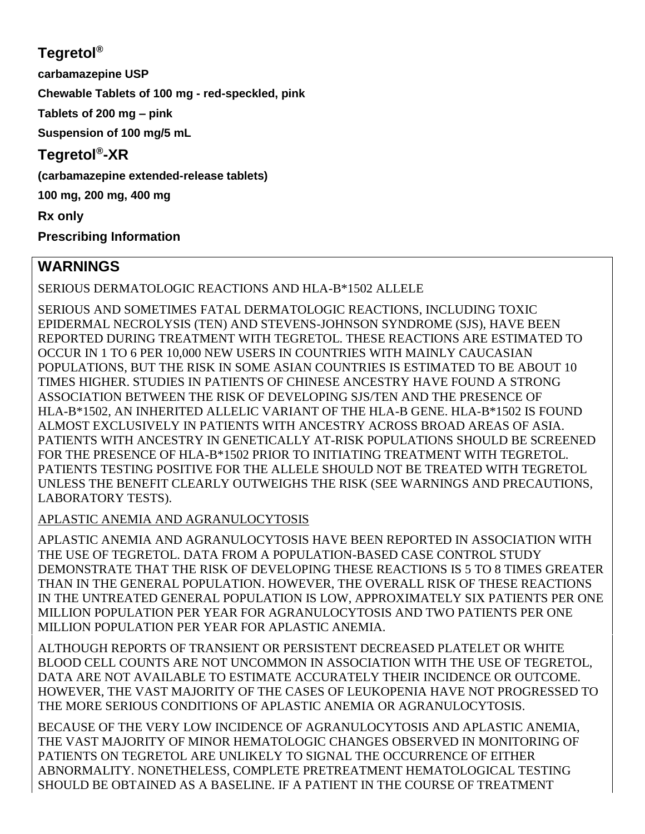# **Tegretol®**

**carbamazepine USP**

**Chewable Tablets of 100 mg - red-speckled, pink**

**Tablets of 200 mg – pink**

**Suspension of 100 mg/5 mL**

# **Tegretol® -XR**

**(carbamazepine extended-release tablets)**

**100 mg, 200 mg, 400 mg**

**Rx only**

**Prescribing Information**

# **WARNINGS**

SERIOUS DERMATOLOGIC REACTIONS AND HLA-B\*1502 ALLELE

SERIOUS AND SOMETIMES FATAL DERMATOLOGIC REACTIONS, INCLUDING TOXIC EPIDERMAL NECROLYSIS (TEN) AND STEVENS-JOHNSON SYNDROME (SJS), HAVE BEEN REPORTED DURING TREATMENT WITH TEGRETOL. THESE REACTIONS ARE ESTIMATED TO OCCUR IN 1 TO 6 PER 10,000 NEW USERS IN COUNTRIES WITH MAINLY CAUCASIAN POPULATIONS, BUT THE RISK IN SOME ASIAN COUNTRIES IS ESTIMATED TO BE ABOUT 10 TIMES HIGHER. STUDIES IN PATIENTS OF CHINESE ANCESTRY HAVE FOUND A STRONG ASSOCIATION BETWEEN THE RISK OF DEVELOPING SJS/TEN AND THE PRESENCE OF HLA-B\*1502, AN INHERITED ALLELIC VARIANT OF THE HLA-B GENE. HLA-B\*1502 IS FOUND ALMOST EXCLUSIVELY IN PATIENTS WITH ANCESTRY ACROSS BROAD AREAS OF ASIA. PATIENTS WITH ANCESTRY IN GENETICALLY AT-RISK POPULATIONS SHOULD BE SCREENED FOR THE PRESENCE OF HLA-B\*1502 PRIOR TO INITIATING TREATMENT WITH TEGRETOL. PATIENTS TESTING POSITIVE FOR THE ALLELE SHOULD NOT BE TREATED WITH TEGRETOL UNLESS THE BENEFIT CLEARLY OUTWEIGHS THE RISK (SEE WARNINGS AND PRECAUTIONS, LABORATORY TESTS).

# APLASTIC ANEMIA AND AGRANULOCYTOSIS

APLASTIC ANEMIA AND AGRANULOCYTOSIS HAVE BEEN REPORTED IN ASSOCIATION WITH THE USE OF TEGRETOL. DATA FROM A POPULATION-BASED CASE CONTROL STUDY DEMONSTRATE THAT THE RISK OF DEVELOPING THESE REACTIONS IS 5 TO 8 TIMES GREATER THAN IN THE GENERAL POPULATION. HOWEVER, THE OVERALL RISK OF THESE REACTIONS IN THE UNTREATED GENERAL POPULATION IS LOW, APPROXIMATELY SIX PATIENTS PER ONE MILLION POPULATION PER YEAR FOR AGRANULOCYTOSIS AND TWO PATIENTS PER ONE MILLION POPULATION PER YEAR FOR APLASTIC ANEMIA.

ALTHOUGH REPORTS OF TRANSIENT OR PERSISTENT DECREASED PLATELET OR WHITE BLOOD CELL COUNTS ARE NOT UNCOMMON IN ASSOCIATION WITH THE USE OF TEGRETOL, DATA ARE NOT AVAILABLE TO ESTIMATE ACCURATELY THEIR INCIDENCE OR OUTCOME. HOWEVER, THE VAST MAJORITY OF THE CASES OF LEUKOPENIA HAVE NOT PROGRESSED TO THE MORE SERIOUS CONDITIONS OF APLASTIC ANEMIA OR AGRANULOCYTOSIS.

BECAUSE OF THE VERY LOW INCIDENCE OF AGRANULOCYTOSIS AND APLASTIC ANEMIA, THE VAST MAJORITY OF MINOR HEMATOLOGIC CHANGES OBSERVED IN MONITORING OF PATIENTS ON TEGRETOL ARE UNLIKELY TO SIGNAL THE OCCURRENCE OF EITHER ABNORMALITY. NONETHELESS, COMPLETE PRETREATMENT HEMATOLOGICAL TESTING SHOULD BE OBTAINED AS A BASELINE. IF A PATIENT IN THE COURSE OF TREATMENT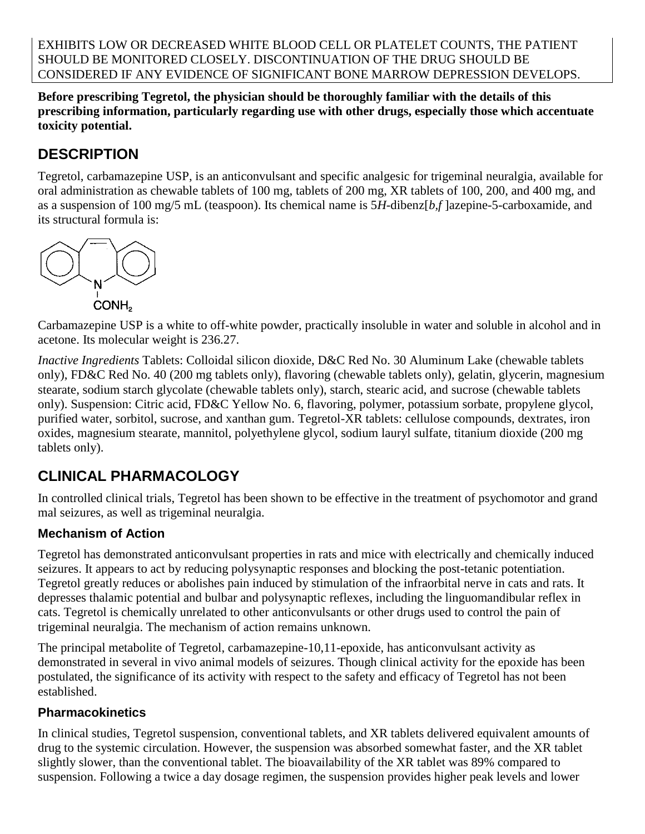EXHIBITS LOW OR DECREASED WHITE BLOOD CELL OR PLATELET COUNTS, THE PATIENT SHOULD BE MONITORED CLOSELY. DISCONTINUATION OF THE DRUG SHOULD BE CONSIDERED IF ANY EVIDENCE OF SIGNIFICANT BONE MARROW DEPRESSION DEVELOPS.

**Before prescribing Tegretol, the physician should be thoroughly familiar with the details of this prescribing information, particularly regarding use with other drugs, especially those which accentuate toxicity potential.**

# **DESCRIPTION**

Tegretol, carbamazepine USP, is an anticonvulsant and specific analgesic for trigeminal neuralgia, available for oral administration as chewable tablets of 100 mg, tablets of 200 mg, XR tablets of 100, 200, and 400 mg, and as a suspension of 100 mg/5 mL (teaspoon). Its chemical name is 5*H*-dibenz[*b,f* ]azepine-5-carboxamide, and its structural formula is:



CONH<sub>2</sub>

Carbamazepine USP is a white to off-white powder, practically insoluble in water and soluble in alcohol and in acetone. Its molecular weight is 236.27.

*Inactive Ingredients* Tablets: Colloidal silicon dioxide, D&C Red No. 30 Aluminum Lake (chewable tablets only), FD&C Red No. 40 (200 mg tablets only), flavoring (chewable tablets only), gelatin, glycerin, magnesium stearate, sodium starch glycolate (chewable tablets only), starch, stearic acid, and sucrose (chewable tablets only). Suspension: Citric acid, FD&C Yellow No. 6, flavoring, polymer, potassium sorbate, propylene glycol, purified water, sorbitol, sucrose, and xanthan gum. Tegretol-XR tablets: cellulose compounds, dextrates, iron oxides, magnesium stearate, mannitol, polyethylene glycol, sodium lauryl sulfate, titanium dioxide (200 mg tablets only).

# **CLINICAL PHARMACOLOGY**

In controlled clinical trials, Tegretol has been shown to be effective in the treatment of psychomotor and grand mal seizures, as well as trigeminal neuralgia.

# **Mechanism of Action**

Tegretol has demonstrated anticonvulsant properties in rats and mice with electrically and chemically induced seizures. It appears to act by reducing polysynaptic responses and blocking the post-tetanic potentiation. Tegretol greatly reduces or abolishes pain induced by stimulation of the infraorbital nerve in cats and rats. It depresses thalamic potential and bulbar and polysynaptic reflexes, including the linguomandibular reflex in cats. Tegretol is chemically unrelated to other anticonvulsants or other drugs used to control the pain of trigeminal neuralgia. The mechanism of action remains unknown.

The principal metabolite of Tegretol, carbamazepine-10,11-epoxide, has anticonvulsant activity as demonstrated in several in vivo animal models of seizures. Though clinical activity for the epoxide has been postulated, the significance of its activity with respect to the safety and efficacy of Tegretol has not been established.

## **Pharmacokinetics**

In clinical studies, Tegretol suspension, conventional tablets, and XR tablets delivered equivalent amounts of drug to the systemic circulation. However, the suspension was absorbed somewhat faster, and the XR tablet slightly slower, than the conventional tablet. The bioavailability of the XR tablet was 89% compared to suspension. Following a twice a day dosage regimen, the suspension provides higher peak levels and lower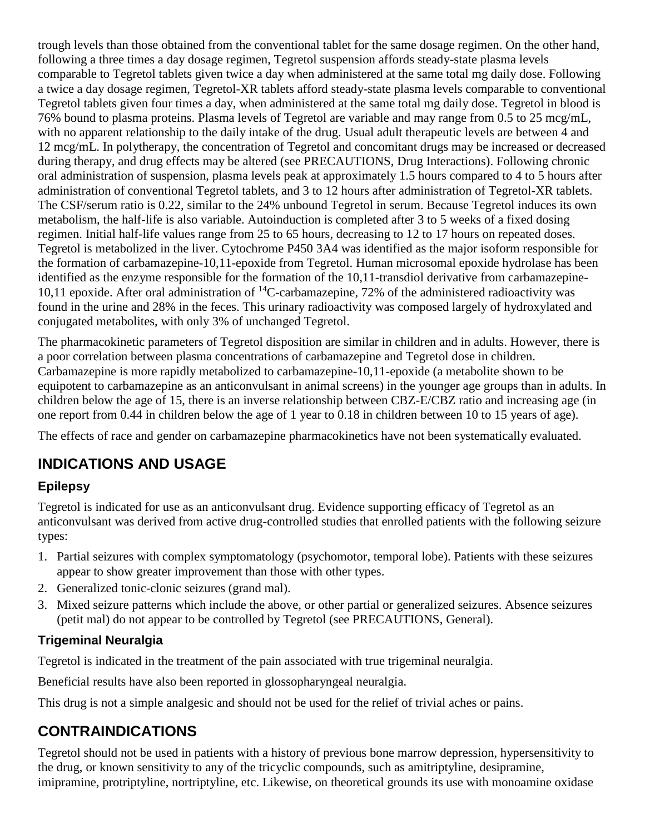trough levels than those obtained from the conventional tablet for the same dosage regimen. On the other hand, following a three times a day dosage regimen, Tegretol suspension affords steady-state plasma levels comparable to Tegretol tablets given twice a day when administered at the same total mg daily dose. Following a twice a day dosage regimen, Tegretol-XR tablets afford steady-state plasma levels comparable to conventional Tegretol tablets given four times a day, when administered at the same total mg daily dose. Tegretol in blood is 76% bound to plasma proteins. Plasma levels of Tegretol are variable and may range from 0.5 to 25 mcg/mL, with no apparent relationship to the daily intake of the drug. Usual adult therapeutic levels are between 4 and 12 mcg/mL. In polytherapy, the concentration of Tegretol and concomitant drugs may be increased or decreased during therapy, and drug effects may be altered (see PRECAUTIONS, Drug Interactions). Following chronic oral administration of suspension, plasma levels peak at approximately 1.5 hours compared to 4 to 5 hours after administration of conventional Tegretol tablets, and 3 to 12 hours after administration of Tegretol-XR tablets. The CSF/serum ratio is 0.22, similar to the 24% unbound Tegretol in serum. Because Tegretol induces its own metabolism, the half-life is also variable. Autoinduction is completed after 3 to 5 weeks of a fixed dosing regimen. Initial half-life values range from 25 to 65 hours, decreasing to 12 to 17 hours on repeated doses. Tegretol is metabolized in the liver. Cytochrome P450 3A4 was identified as the major isoform responsible for the formation of carbamazepine-10,11-epoxide from Tegretol. Human microsomal epoxide hydrolase has been identified as the enzyme responsible for the formation of the 10,11-transdiol derivative from carbamazepine-10,11 epoxide. After oral administration of <sup>14</sup>C-carbamazepine, 72% of the administered radioactivity was found in the urine and 28% in the feces. This urinary radioactivity was composed largely of hydroxylated and conjugated metabolites, with only 3% of unchanged Tegretol.

The pharmacokinetic parameters of Tegretol disposition are similar in children and in adults. However, there is a poor correlation between plasma concentrations of carbamazepine and Tegretol dose in children. Carbamazepine is more rapidly metabolized to carbamazepine-10,11-epoxide (a metabolite shown to be equipotent to carbamazepine as an anticonvulsant in animal screens) in the younger age groups than in adults. In children below the age of 15, there is an inverse relationship between CBZ-E/CBZ ratio and increasing age (in one report from 0.44 in children below the age of 1 year to 0.18 in children between 10 to 15 years of age).

The effects of race and gender on carbamazepine pharmacokinetics have not been systematically evaluated.

# **INDICATIONS AND USAGE**

# **Epilepsy**

Tegretol is indicated for use as an anticonvulsant drug. Evidence supporting efficacy of Tegretol as an anticonvulsant was derived from active drug-controlled studies that enrolled patients with the following seizure types:

- 1. Partial seizures with complex symptomatology (psychomotor, temporal lobe). Patients with these seizures appear to show greater improvement than those with other types.
- 2. Generalized tonic-clonic seizures (grand mal).
- 3. Mixed seizure patterns which include the above, or other partial or generalized seizures. Absence seizures (petit mal) do not appear to be controlled by Tegretol (see PRECAUTIONS, General).

# **Trigeminal Neuralgia**

Tegretol is indicated in the treatment of the pain associated with true trigeminal neuralgia.

Beneficial results have also been reported in glossopharyngeal neuralgia.

This drug is not a simple analgesic and should not be used for the relief of trivial aches or pains.

# **CONTRAINDICATIONS**

Tegretol should not be used in patients with a history of previous bone marrow depression, hypersensitivity to the drug, or known sensitivity to any of the tricyclic compounds, such as amitriptyline, desipramine, imipramine, protriptyline, nortriptyline, etc. Likewise, on theoretical grounds its use with monoamine oxidase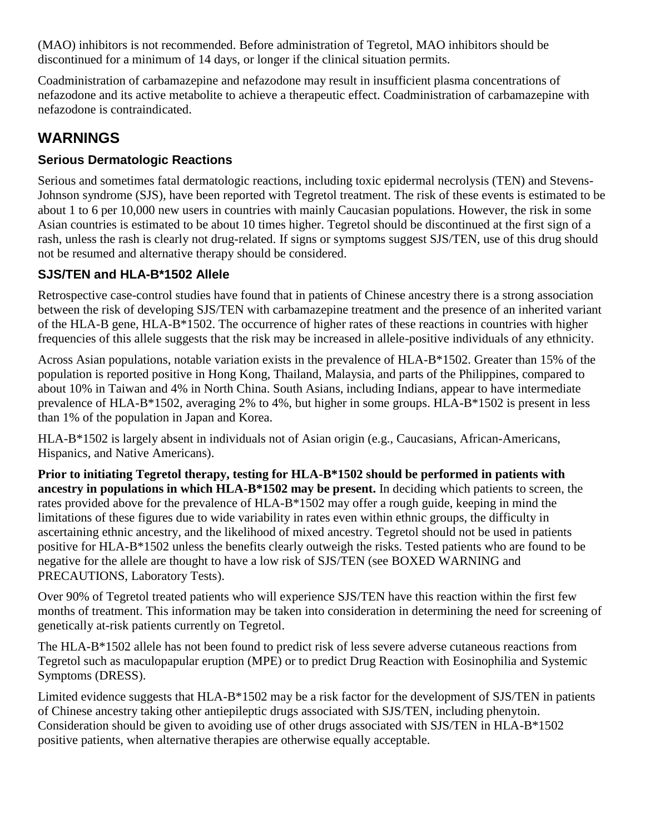(MAO) inhibitors is not recommended. Before administration of Tegretol, MAO inhibitors should be discontinued for a minimum of 14 days, or longer if the clinical situation permits.

Coadministration of carbamazepine and nefazodone may result in insufficient plasma concentrations of nefazodone and its active metabolite to achieve a therapeutic effect. Coadministration of carbamazepine with nefazodone is contraindicated.

# **WARNINGS**

# **Serious Dermatologic Reactions**

Serious and sometimes fatal dermatologic reactions, including toxic epidermal necrolysis (TEN) and Stevens-Johnson syndrome (SJS), have been reported with Tegretol treatment. The risk of these events is estimated to be about 1 to 6 per 10,000 new users in countries with mainly Caucasian populations. However, the risk in some Asian countries is estimated to be about 10 times higher. Tegretol should be discontinued at the first sign of a rash, unless the rash is clearly not drug-related. If signs or symptoms suggest SJS/TEN, use of this drug should not be resumed and alternative therapy should be considered.

# **SJS/TEN and HLA-B\*1502 Allele**

Retrospective case-control studies have found that in patients of Chinese ancestry there is a strong association between the risk of developing SJS/TEN with carbamazepine treatment and the presence of an inherited variant of the HLA-B gene, HLA-B\*1502. The occurrence of higher rates of these reactions in countries with higher frequencies of this allele suggests that the risk may be increased in allele-positive individuals of any ethnicity.

Across Asian populations, notable variation exists in the prevalence of HLA-B\*1502. Greater than 15% of the population is reported positive in Hong Kong, Thailand, Malaysia, and parts of the Philippines, compared to about 10% in Taiwan and 4% in North China. South Asians, including Indians, appear to have intermediate prevalence of HLA-B\*1502, averaging 2% to 4%, but higher in some groups. HLA-B\*1502 is present in less than 1% of the population in Japan and Korea.

HLA-B\*1502 is largely absent in individuals not of Asian origin (e.g., Caucasians, African-Americans, Hispanics, and Native Americans).

**Prior to initiating Tegretol therapy, testing for HLA-B\*1502 should be performed in patients with ancestry in populations in which HLA-B\*1502 may be present.** In deciding which patients to screen, the rates provided above for the prevalence of HLA-B\*1502 may offer a rough guide, keeping in mind the limitations of these figures due to wide variability in rates even within ethnic groups, the difficulty in ascertaining ethnic ancestry, and the likelihood of mixed ancestry. Tegretol should not be used in patients positive for HLA-B\*1502 unless the benefits clearly outweigh the risks. Tested patients who are found to be negative for the allele are thought to have a low risk of SJS/TEN (see BOXED WARNING and PRECAUTIONS, Laboratory Tests).

Over 90% of Tegretol treated patients who will experience SJS/TEN have this reaction within the first few months of treatment. This information may be taken into consideration in determining the need for screening of genetically at-risk patients currently on Tegretol.

The HLA-B\*1502 allele has not been found to predict risk of less severe adverse cutaneous reactions from Tegretol such as maculopapular eruption (MPE) or to predict Drug Reaction with Eosinophilia and Systemic Symptoms (DRESS).

Limited evidence suggests that HLA-B\*1502 may be a risk factor for the development of SJS/TEN in patients of Chinese ancestry taking other antiepileptic drugs associated with SJS/TEN, including phenytoin. Consideration should be given to avoiding use of other drugs associated with SJS/TEN in HLA-B\*1502 positive patients, when alternative therapies are otherwise equally acceptable.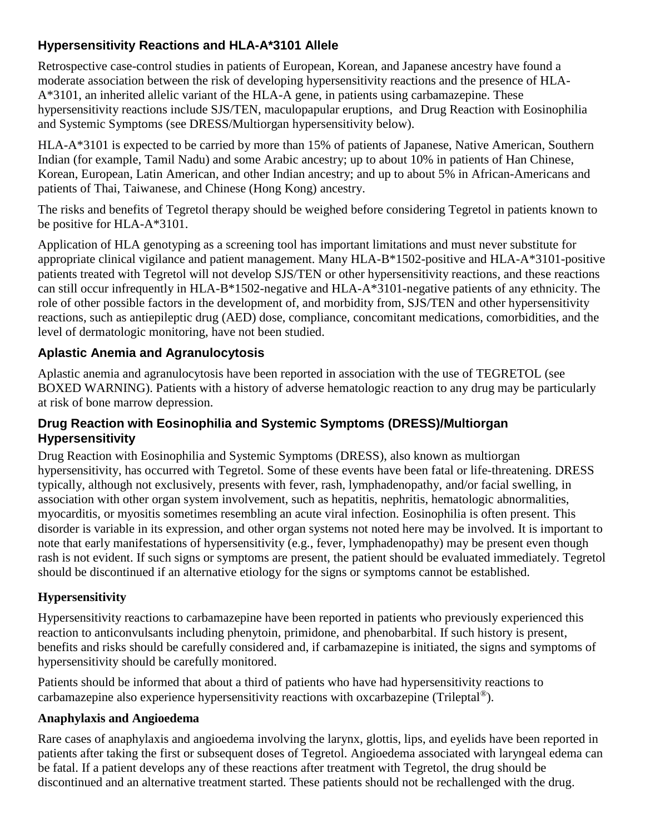# **Hypersensitivity Reactions and HLA-A\*3101 Allele**

Retrospective case-control studies in patients of European, Korean, and Japanese ancestry have found a moderate association between the risk of developing hypersensitivity reactions and the presence of HLA-A\*3101, an inherited allelic variant of the HLA-A gene, in patients using carbamazepine. These hypersensitivity reactions include SJS/TEN, maculopapular eruptions, and Drug Reaction with Eosinophilia and Systemic Symptoms (see DRESS/Multiorgan hypersensitivity below).

HLA-A\*3101 is expected to be carried by more than 15% of patients of Japanese, Native American, Southern Indian (for example, Tamil Nadu) and some Arabic ancestry; up to about 10% in patients of Han Chinese, Korean, European, Latin American, and other Indian ancestry; and up to about 5% in African-Americans and patients of Thai, Taiwanese, and Chinese (Hong Kong) ancestry.

The risks and benefits of Tegretol therapy should be weighed before considering Tegretol in patients known to be positive for HLA-A\*3101.

Application of HLA genotyping as a screening tool has important limitations and must never substitute for appropriate clinical vigilance and patient management. Many HLA-B\*1502-positive and HLA-A\*3101-positive patients treated with Tegretol will not develop SJS/TEN or other hypersensitivity reactions, and these reactions can still occur infrequently in HLA-B\*1502-negative and HLA-A\*3101-negative patients of any ethnicity. The role of other possible factors in the development of, and morbidity from, SJS/TEN and other hypersensitivity reactions, such as antiepileptic drug (AED) dose, compliance, concomitant medications, comorbidities, and the level of dermatologic monitoring, have not been studied.

## **Aplastic Anemia and Agranulocytosis**

Aplastic anemia and agranulocytosis have been reported in association with the use of TEGRETOL (see BOXED WARNING). Patients with a history of adverse hematologic reaction to any drug may be particularly at risk of bone marrow depression.

## **Drug Reaction with Eosinophilia and Systemic Symptoms (DRESS)/Multiorgan Hypersensitivity**

Drug Reaction with Eosinophilia and Systemic Symptoms (DRESS), also known as multiorgan hypersensitivity, has occurred with Tegretol. Some of these events have been fatal or life-threatening. DRESS typically, although not exclusively, presents with fever, rash, lymphadenopathy, and/or facial swelling, in association with other organ system involvement, such as hepatitis, nephritis, hematologic abnormalities, myocarditis, or myositis sometimes resembling an acute viral infection. Eosinophilia is often present. This disorder is variable in its expression, and other organ systems not noted here may be involved. It is important to note that early manifestations of hypersensitivity (e.g., fever, lymphadenopathy) may be present even though rash is not evident. If such signs or symptoms are present, the patient should be evaluated immediately. Tegretol should be discontinued if an alternative etiology for the signs or symptoms cannot be established.

# **Hypersensitivity**

Hypersensitivity reactions to carbamazepine have been reported in patients who previously experienced this reaction to anticonvulsants including phenytoin, primidone, and phenobarbital. If such history is present, benefits and risks should be carefully considered and, if carbamazepine is initiated, the signs and symptoms of hypersensitivity should be carefully monitored.

Patients should be informed that about a third of patients who have had hypersensitivity reactions to carbamazepine also experience hypersensitivity reactions with oxcarbazepine (Trileptal®).

## **Anaphylaxis and Angioedema**

Rare cases of anaphylaxis and angioedema involving the larynx, glottis, lips, and eyelids have been reported in patients after taking the first or subsequent doses of Tegretol. Angioedema associated with laryngeal edema can be fatal. If a patient develops any of these reactions after treatment with Tegretol, the drug should be discontinued and an alternative treatment started. These patients should not be rechallenged with the drug.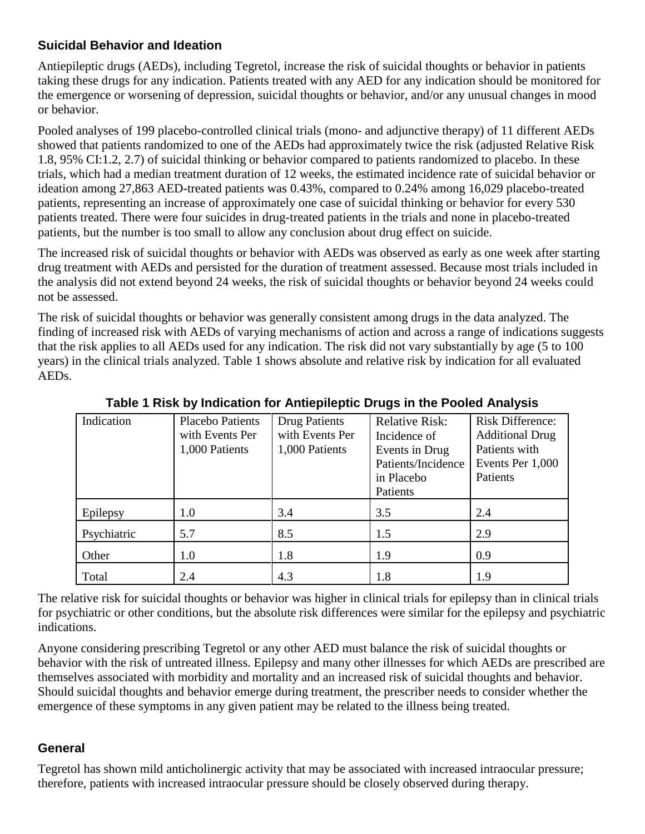## **Suicidal Behavior and Ideation**

Antiepileptic drugs (AEDs), including Tegretol, increase the risk of suicidal thoughts or behavior in patients taking these drugs for any indication. Patients treated with any AED for any indication should be monitored for the emergence or worsening of depression, suicidal thoughts or behavior, and/or any unusual changes in mood or behavior.

Pooled analyses of 199 placebo-controlled clinical trials (mono- and adjunctive therapy) of 11 different AEDs showed that patients randomized to one of the AEDs had approximately twice the risk (adjusted Relative Risk 1.8, 95% CI:1.2, 2.7) of suicidal thinking or behavior compared to patients randomized to placebo. In these trials, which had a median treatment duration of 12 weeks, the estimated incidence rate of suicidal behavior or ideation among 27,863 AED-treated patients was 0.43%, compared to 0.24% among 16,029 placebo-treated patients, representing an increase of approximately one case of suicidal thinking or behavior for every 530 patients treated. There were four suicides in drug-treated patients in the trials and none in placebo-treated patients, but the number is too small to allow any conclusion about drug effect on suicide.

The increased risk of suicidal thoughts or behavior with AEDs was observed as early as one week after starting drug treatment with AEDs and persisted for the duration of treatment assessed. Because most trials included in the analysis did not extend beyond 24 weeks, the risk of suicidal thoughts or behavior beyond 24 weeks could not be assessed.

The risk of suicidal thoughts or behavior was generally consistent among drugs in the data analyzed. The finding of increased risk with AEDs of varying mechanisms of action and across a range of indications suggests that the risk applies to all AEDs used for any indication. The risk did not vary substantially by age (5 to 100 years) in the clinical trials analyzed. Table 1 shows absolute and relative risk by indication for all evaluated AEDs.

| Indication  | <b>Placebo Patients</b><br>with Events Per<br>1,000 Patients | <b>Drug Patients</b><br>with Events Per<br>1,000 Patients | <b>Relative Risk:</b><br>Incidence of<br>Events in Drug<br>Patients/Incidence<br>in Placebo<br>Patients | <b>Risk Difference:</b><br><b>Additional Drug</b><br>Patients with<br>Events Per 1,000<br>Patients |
|-------------|--------------------------------------------------------------|-----------------------------------------------------------|---------------------------------------------------------------------------------------------------------|----------------------------------------------------------------------------------------------------|
| Epilepsy    | 1.0                                                          | 3.4                                                       | 3.5                                                                                                     | 2.4                                                                                                |
| Psychiatric | 5.7                                                          | 8.5                                                       | 1.5                                                                                                     | 2.9                                                                                                |
| Other       | 1.0                                                          | 1.8                                                       | 1.9                                                                                                     | 0.9                                                                                                |
| Total       | 2.4                                                          | 4.3                                                       | 1.8                                                                                                     | 1.9                                                                                                |

**Table 1 Risk by Indication for Antiepileptic Drugs in the Pooled Analysis**

The relative risk for suicidal thoughts or behavior was higher in clinical trials for epilepsy than in clinical trials for psychiatric or other conditions, but the absolute risk differences were similar for the epilepsy and psychiatric indications.

Anyone considering prescribing Tegretol or any other AED must balance the risk of suicidal thoughts or behavior with the risk of untreated illness. Epilepsy and many other illnesses for which AEDs are prescribed are themselves associated with morbidity and mortality and an increased risk of suicidal thoughts and behavior. Should suicidal thoughts and behavior emerge during treatment, the prescriber needs to consider whether the emergence of these symptoms in any given patient may be related to the illness being treated.

# **General**

Tegretol has shown mild anticholinergic activity that may be associated with increased intraocular pressure; therefore, patients with increased intraocular pressure should be closely observed during therapy.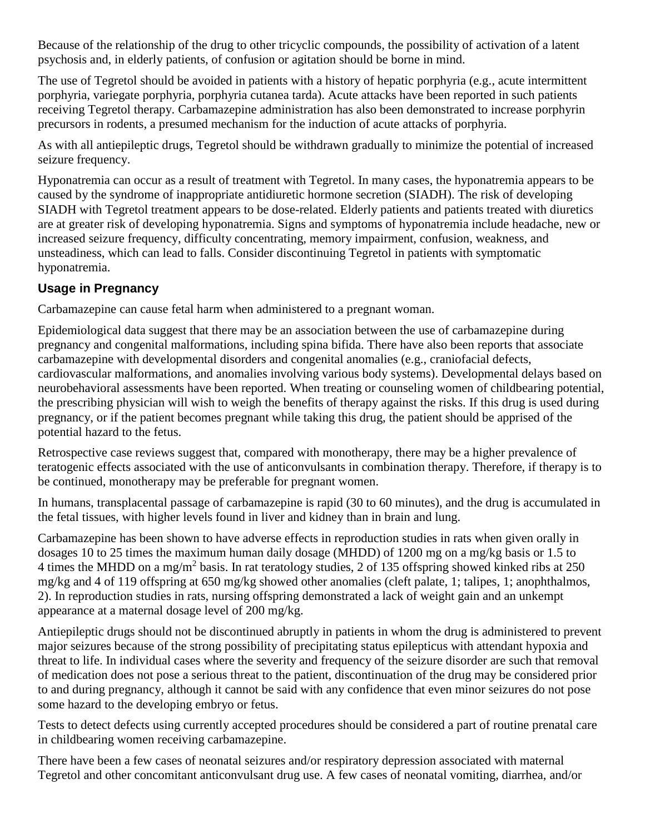Because of the relationship of the drug to other tricyclic compounds, the possibility of activation of a latent psychosis and, in elderly patients, of confusion or agitation should be borne in mind.

The use of Tegretol should be avoided in patients with a history of hepatic porphyria (e.g., acute intermittent porphyria, variegate porphyria, porphyria cutanea tarda). Acute attacks have been reported in such patients receiving Tegretol therapy. Carbamazepine administration has also been demonstrated to increase porphyrin precursors in rodents, a presumed mechanism for the induction of acute attacks of porphyria.

As with all antiepileptic drugs, Tegretol should be withdrawn gradually to minimize the potential of increased seizure frequency.

Hyponatremia can occur as a result of treatment with Tegretol. In many cases, the hyponatremia appears to be caused by the syndrome of inappropriate antidiuretic hormone secretion (SIADH). The risk of developing SIADH with Tegretol treatment appears to be dose-related. Elderly patients and patients treated with diuretics are at greater risk of developing hyponatremia. Signs and symptoms of hyponatremia include headache, new or increased seizure frequency, difficulty concentrating, memory impairment, confusion, weakness, and unsteadiness, which can lead to falls. Consider discontinuing Tegretol in patients with symptomatic hyponatremia.

# **Usage in Pregnancy**

Carbamazepine can cause fetal harm when administered to a pregnant woman.

Epidemiological data suggest that there may be an association between the use of carbamazepine during pregnancy and congenital malformations, including spina bifida. There have also been reports that associate carbamazepine with developmental disorders and congenital anomalies (e.g., craniofacial defects, cardiovascular malformations, and anomalies involving various body systems). Developmental delays based on neurobehavioral assessments have been reported. When treating or counseling women of childbearing potential, the prescribing physician will wish to weigh the benefits of therapy against the risks. If this drug is used during pregnancy, or if the patient becomes pregnant while taking this drug, the patient should be apprised of the potential hazard to the fetus.

Retrospective case reviews suggest that, compared with monotherapy, there may be a higher prevalence of teratogenic effects associated with the use of anticonvulsants in combination therapy. Therefore, if therapy is to be continued, monotherapy may be preferable for pregnant women.

In humans, transplacental passage of carbamazepine is rapid (30 to 60 minutes), and the drug is accumulated in the fetal tissues, with higher levels found in liver and kidney than in brain and lung.

Carbamazepine has been shown to have adverse effects in reproduction studies in rats when given orally in dosages 10 to 25 times the maximum human daily dosage (MHDD) of 1200 mg on a mg/kg basis or 1.5 to 4 times the MHDD on a mg/m<sup>2</sup> basis. In rat teratology studies, 2 of 135 offspring showed kinked ribs at 250 mg/kg and 4 of 119 offspring at 650 mg/kg showed other anomalies (cleft palate, 1; talipes, 1; anophthalmos, 2). In reproduction studies in rats, nursing offspring demonstrated a lack of weight gain and an unkempt appearance at a maternal dosage level of 200 mg/kg.

Antiepileptic drugs should not be discontinued abruptly in patients in whom the drug is administered to prevent major seizures because of the strong possibility of precipitating status epilepticus with attendant hypoxia and threat to life. In individual cases where the severity and frequency of the seizure disorder are such that removal of medication does not pose a serious threat to the patient, discontinuation of the drug may be considered prior to and during pregnancy, although it cannot be said with any confidence that even minor seizures do not pose some hazard to the developing embryo or fetus.

Tests to detect defects using currently accepted procedures should be considered a part of routine prenatal care in childbearing women receiving carbamazepine.

There have been a few cases of neonatal seizures and/or respiratory depression associated with maternal Tegretol and other concomitant anticonvulsant drug use. A few cases of neonatal vomiting, diarrhea, and/or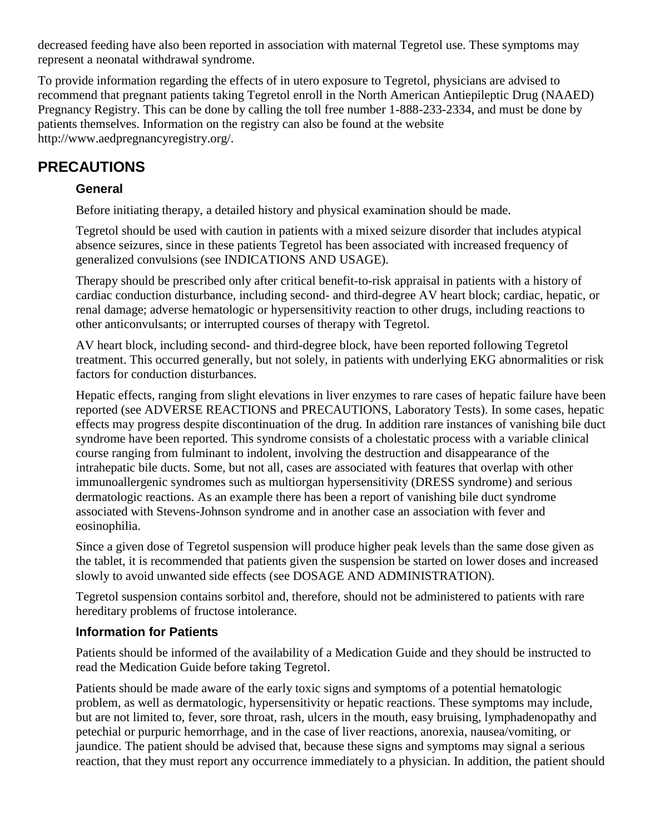decreased feeding have also been reported in association with maternal Tegretol use. These symptoms may represent a neonatal withdrawal syndrome.

To provide information regarding the effects of in utero exposure to Tegretol, physicians are advised to recommend that pregnant patients taking Tegretol enroll in the North American Antiepileptic Drug (NAAED) Pregnancy Registry. This can be done by calling the toll free number 1-888-233-2334, and must be done by patients themselves. Information on the registry can also be found at the website http://www.aedpregnancyregistry.org/.

# **PRECAUTIONS**

## **General**

Before initiating therapy, a detailed history and physical examination should be made.

Tegretol should be used with caution in patients with a mixed seizure disorder that includes atypical absence seizures, since in these patients Tegretol has been associated with increased frequency of generalized convulsions (see INDICATIONS AND USAGE).

Therapy should be prescribed only after critical benefit-to-risk appraisal in patients with a history of cardiac conduction disturbance, including second- and third-degree AV heart block; cardiac, hepatic, or renal damage; adverse hematologic or hypersensitivity reaction to other drugs, including reactions to other anticonvulsants; or interrupted courses of therapy with Tegretol.

AV heart block, including second- and third-degree block, have been reported following Tegretol treatment. This occurred generally, but not solely, in patients with underlying EKG abnormalities or risk factors for conduction disturbances.

Hepatic effects, ranging from slight elevations in liver enzymes to rare cases of hepatic failure have been reported (see ADVERSE REACTIONS and PRECAUTIONS, Laboratory Tests). In some cases, hepatic effects may progress despite discontinuation of the drug. In addition rare instances of vanishing bile duct syndrome have been reported. This syndrome consists of a cholestatic process with a variable clinical course ranging from fulminant to indolent, involving the destruction and disappearance of the intrahepatic bile ducts. Some, but not all, cases are associated with features that overlap with other immunoallergenic syndromes such as multiorgan hypersensitivity (DRESS syndrome) and serious dermatologic reactions. As an example there has been a report of vanishing bile duct syndrome associated with Stevens-Johnson syndrome and in another case an association with fever and eosinophilia.

Since a given dose of Tegretol suspension will produce higher peak levels than the same dose given as the tablet, it is recommended that patients given the suspension be started on lower doses and increased slowly to avoid unwanted side effects (see DOSAGE AND ADMINISTRATION).

Tegretol suspension contains sorbitol and, therefore, should not be administered to patients with rare hereditary problems of fructose intolerance.

# **Information for Patients**

Patients should be informed of the availability of a Medication Guide and they should be instructed to read the Medication Guide before taking Tegretol.

Patients should be made aware of the early toxic signs and symptoms of a potential hematologic problem, as well as dermatologic, hypersensitivity or hepatic reactions. These symptoms may include, but are not limited to, fever, sore throat, rash, ulcers in the mouth, easy bruising, lymphadenopathy and petechial or purpuric hemorrhage, and in the case of liver reactions, anorexia, nausea/vomiting, or jaundice. The patient should be advised that, because these signs and symptoms may signal a serious reaction, that they must report any occurrence immediately to a physician. In addition, the patient should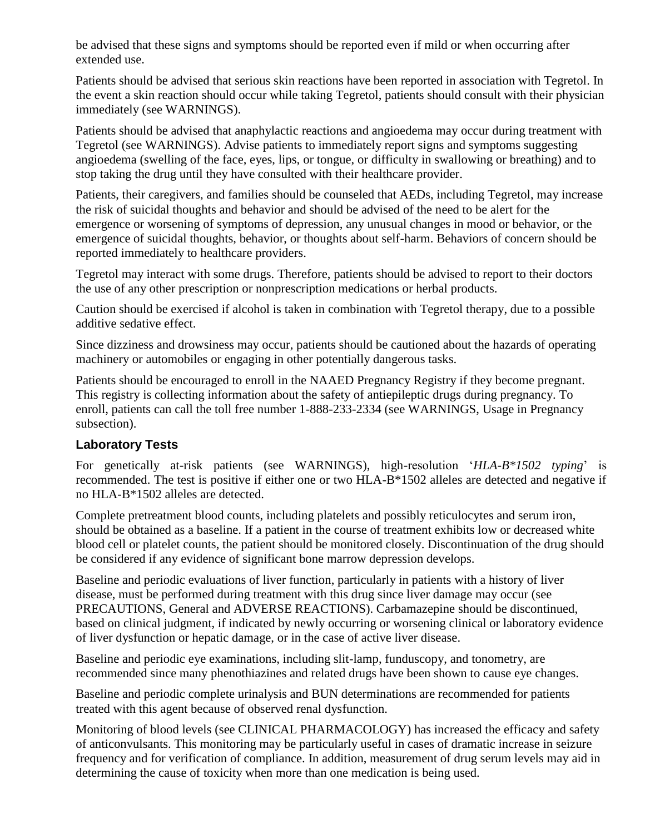be advised that these signs and symptoms should be reported even if mild or when occurring after extended use.

Patients should be advised that serious skin reactions have been reported in association with Tegretol. In the event a skin reaction should occur while taking Tegretol, patients should consult with their physician immediately (see WARNINGS).

Patients should be advised that anaphylactic reactions and angioedema may occur during treatment with Tegretol (see WARNINGS). Advise patients to immediately report signs and symptoms suggesting angioedema (swelling of the face, eyes, lips, or tongue, or difficulty in swallowing or breathing) and to stop taking the drug until they have consulted with their healthcare provider.

Patients, their caregivers, and families should be counseled that AEDs, including Tegretol, may increase the risk of suicidal thoughts and behavior and should be advised of the need to be alert for the emergence or worsening of symptoms of depression, any unusual changes in mood or behavior, or the emergence of suicidal thoughts, behavior, or thoughts about self-harm. Behaviors of concern should be reported immediately to healthcare providers.

Tegretol may interact with some drugs. Therefore, patients should be advised to report to their doctors the use of any other prescription or nonprescription medications or herbal products.

Caution should be exercised if alcohol is taken in combination with Tegretol therapy, due to a possible additive sedative effect.

Since dizziness and drowsiness may occur, patients should be cautioned about the hazards of operating machinery or automobiles or engaging in other potentially dangerous tasks.

Patients should be encouraged to enroll in the NAAED Pregnancy Registry if they become pregnant. This registry is collecting information about the safety of antiepileptic drugs during pregnancy. To enroll, patients can call the toll free number 1-888-233-2334 (see WARNINGS, Usage in Pregnancy subsection).

## **Laboratory Tests**

For genetically at-risk patients (see WARNINGS), high-resolution '*HLA-B\*1502 typing*' is recommended. The test is positive if either one or two HLA-B\*1502 alleles are detected and negative if no HLA-B\*1502 alleles are detected.

Complete pretreatment blood counts, including platelets and possibly reticulocytes and serum iron, should be obtained as a baseline. If a patient in the course of treatment exhibits low or decreased white blood cell or platelet counts, the patient should be monitored closely. Discontinuation of the drug should be considered if any evidence of significant bone marrow depression develops.

Baseline and periodic evaluations of liver function, particularly in patients with a history of liver disease, must be performed during treatment with this drug since liver damage may occur (see PRECAUTIONS, General and ADVERSE REACTIONS). Carbamazepine should be discontinued, based on clinical judgment, if indicated by newly occurring or worsening clinical or laboratory evidence of liver dysfunction or hepatic damage, or in the case of active liver disease.

Baseline and periodic eye examinations, including slit-lamp, funduscopy, and tonometry, are recommended since many phenothiazines and related drugs have been shown to cause eye changes.

Baseline and periodic complete urinalysis and BUN determinations are recommended for patients treated with this agent because of observed renal dysfunction.

Monitoring of blood levels (see CLINICAL PHARMACOLOGY) has increased the efficacy and safety of anticonvulsants. This monitoring may be particularly useful in cases of dramatic increase in seizure frequency and for verification of compliance. In addition, measurement of drug serum levels may aid in determining the cause of toxicity when more than one medication is being used.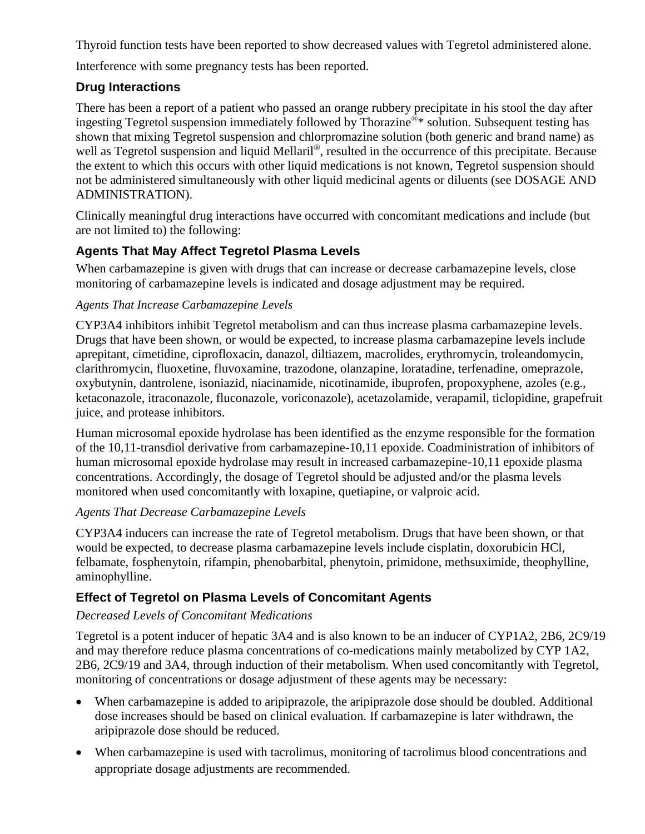Thyroid function tests have been reported to show decreased values with Tegretol administered alone.

Interference with some pregnancy tests has been reported.

## **Drug Interactions**

There has been a report of a patient who passed an orange rubbery precipitate in his stool the day after ingesting Tegretol suspension immediately followed by Thorazine®\* solution. Subsequent testing has shown that mixing Tegretol suspension and chlorpromazine solution (both generic and brand name) as well as Tegretol suspension and liquid Mellaril<sup>®</sup>, resulted in the occurrence of this precipitate. Because the extent to which this occurs with other liquid medications is not known, Tegretol suspension should not be administered simultaneously with other liquid medicinal agents or diluents (see DOSAGE AND ADMINISTRATION).

Clinically meaningful drug interactions have occurred with concomitant medications and include (but are not limited to) the following:

# **Agents That May Affect Tegretol Plasma Levels**

When carbamazepine is given with drugs that can increase or decrease carbamazepine levels, close monitoring of carbamazepine levels is indicated and dosage adjustment may be required.

### *Agents That Increase Carbamazepine Levels*

CYP3A4 inhibitors inhibit Tegretol metabolism and can thus increase plasma carbamazepine levels. Drugs that have been shown, or would be expected, to increase plasma carbamazepine levels include aprepitant, cimetidine, ciprofloxacin, danazol, diltiazem, macrolides, erythromycin, troleandomycin, clarithromycin, fluoxetine, fluvoxamine, trazodone, olanzapine, loratadine, terfenadine, omeprazole, oxybutynin, dantrolene, isoniazid, niacinamide, nicotinamide, ibuprofen, propoxyphene, azoles (e.g., ketaconazole, itraconazole, fluconazole, voriconazole), acetazolamide, verapamil, ticlopidine, grapefruit juice, and protease inhibitors.

Human microsomal epoxide hydrolase has been identified as the enzyme responsible for the formation of the 10,11-transdiol derivative from carbamazepine-10,11 epoxide. Coadministration of inhibitors of human microsomal epoxide hydrolase may result in increased carbamazepine-10,11 epoxide plasma concentrations. Accordingly, the dosage of Tegretol should be adjusted and/or the plasma levels monitored when used concomitantly with loxapine, quetiapine, or valproic acid.

### *Agents That Decrease Carbamazepine Levels*

CYP3A4 inducers can increase the rate of Tegretol metabolism. Drugs that have been shown, or that would be expected, to decrease plasma carbamazepine levels include cisplatin, doxorubicin HCl, felbamate, fosphenytoin, rifampin, phenobarbital, phenytoin, primidone, methsuximide, theophylline, aminophylline.

## **Effect of Tegretol on Plasma Levels of Concomitant Agents**

## *Decreased Levels of Concomitant Medications*

Tegretol is a potent inducer of hepatic 3A4 and is also known to be an inducer of CYP1A2, 2B6, 2C9/19 and may therefore reduce plasma concentrations of co-medications mainly metabolized by CYP 1A2, 2B6, 2C9/19 and 3A4, through induction of their metabolism. When used concomitantly with Tegretol, monitoring of concentrations or dosage adjustment of these agents may be necessary:

- When carbamazepine is added to aripiprazole, the aripiprazole dose should be doubled. Additional dose increases should be based on clinical evaluation. If carbamazepine is later withdrawn, the aripiprazole dose should be reduced.
- When carbamazepine is used with tacrolimus, monitoring of tacrolimus blood concentrations and appropriate dosage adjustments are recommended.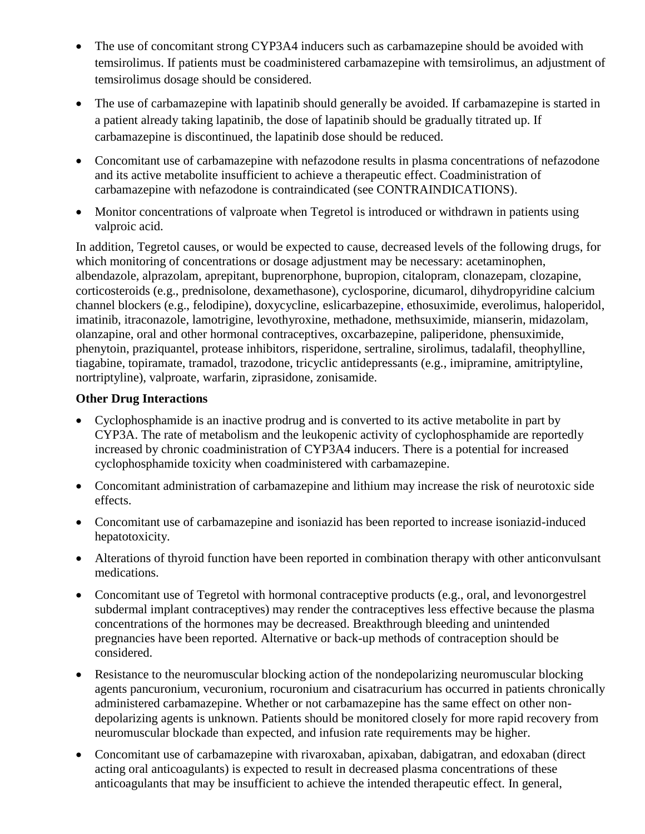- The use of concomitant strong CYP3A4 inducers such as carbamazepine should be avoided with temsirolimus. If patients must be coadministered carbamazepine with temsirolimus, an adjustment of temsirolimus dosage should be considered.
- The use of carbamazepine with lapatinib should generally be avoided. If carbamazepine is started in a patient already taking lapatinib, the dose of lapatinib should be gradually titrated up. If carbamazepine is discontinued, the lapatinib dose should be reduced.
- Concomitant use of carbamazepine with nefazodone results in plasma concentrations of nefazodone and its active metabolite insufficient to achieve a therapeutic effect. Coadministration of carbamazepine with nefazodone is contraindicated (see CONTRAINDICATIONS).
- Monitor concentrations of valproate when Tegretol is introduced or withdrawn in patients using valproic acid.

In addition, Tegretol causes, or would be expected to cause, decreased levels of the following drugs, for which monitoring of concentrations or dosage adjustment may be necessary: acetaminophen, albendazole, alprazolam, aprepitant, buprenorphone, bupropion, citalopram, clonazepam, clozapine, corticosteroids (e.g., prednisolone, dexamethasone), cyclosporine, dicumarol, dihydropyridine calcium channel blockers (e.g., felodipine), doxycycline, eslicarbazepine, ethosuximide, everolimus, haloperidol, imatinib, itraconazole, lamotrigine, levothyroxine, methadone, methsuximide, mianserin, midazolam, olanzapine, oral and other hormonal contraceptives, oxcarbazepine, paliperidone, phensuximide, phenytoin, praziquantel, protease inhibitors, risperidone, sertraline, sirolimus, tadalafil, theophylline, tiagabine, topiramate, tramadol, trazodone, tricyclic antidepressants (e.g., imipramine, amitriptyline, nortriptyline), valproate, warfarin, ziprasidone, zonisamide.

### **Other Drug Interactions**

- Cyclophosphamide is an inactive prodrug and is converted to its active metabolite in part by CYP3A. The rate of metabolism and the leukopenic activity of cyclophosphamide are reportedly increased by chronic coadministration of CYP3A4 inducers. There is a potential for increased cyclophosphamide toxicity when coadministered with carbamazepine.
- Concomitant administration of carbamazepine and lithium may increase the risk of neurotoxic side effects.
- Concomitant use of carbamazepine and isoniazid has been reported to increase isoniazid-induced hepatotoxicity.
- Alterations of thyroid function have been reported in combination therapy with other anticonvulsant medications.
- Concomitant use of Tegretol with hormonal contraceptive products (e.g., oral, and levonorgestrel subdermal implant contraceptives) may render the contraceptives less effective because the plasma concentrations of the hormones may be decreased. Breakthrough bleeding and unintended pregnancies have been reported. Alternative or back-up methods of contraception should be considered.
- Resistance to the neuromuscular blocking action of the nondepolarizing neuromuscular blocking agents pancuronium, vecuronium, rocuronium and cisatracurium has occurred in patients chronically administered carbamazepine. Whether or not carbamazepine has the same effect on other nondepolarizing agents is unknown. Patients should be monitored closely for more rapid recovery from neuromuscular blockade than expected, and infusion rate requirements may be higher.
- Concomitant use of carbamazepine with rivaroxaban, apixaban, dabigatran, and edoxaban (direct acting oral anticoagulants) is expected to result in decreased plasma concentrations of these anticoagulants that may be insufficient to achieve the intended therapeutic effect. In general,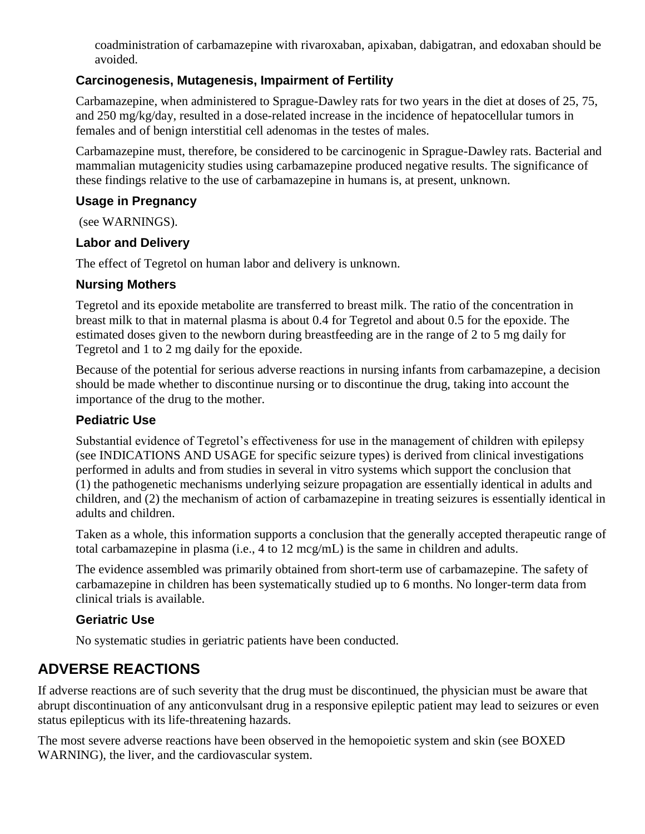coadministration of carbamazepine with rivaroxaban, apixaban, dabigatran, and edoxaban should be avoided.

## **Carcinogenesis, Mutagenesis, Impairment of Fertility**

Carbamazepine, when administered to Sprague-Dawley rats for two years in the diet at doses of 25, 75, and 250 mg/kg/day, resulted in a dose-related increase in the incidence of hepatocellular tumors in females and of benign interstitial cell adenomas in the testes of males.

Carbamazepine must, therefore, be considered to be carcinogenic in Sprague-Dawley rats. Bacterial and mammalian mutagenicity studies using carbamazepine produced negative results. The significance of these findings relative to the use of carbamazepine in humans is, at present, unknown.

## **Usage in Pregnancy**

(see WARNINGS).

### **Labor and Delivery**

The effect of Tegretol on human labor and delivery is unknown.

### **Nursing Mothers**

Tegretol and its epoxide metabolite are transferred to breast milk. The ratio of the concentration in breast milk to that in maternal plasma is about 0.4 for Tegretol and about 0.5 for the epoxide. The estimated doses given to the newborn during breastfeeding are in the range of 2 to 5 mg daily for Tegretol and 1 to 2 mg daily for the epoxide.

Because of the potential for serious adverse reactions in nursing infants from carbamazepine, a decision should be made whether to discontinue nursing or to discontinue the drug, taking into account the importance of the drug to the mother.

### **Pediatric Use**

Substantial evidence of Tegretol's effectiveness for use in the management of children with epilepsy (see INDICATIONS AND USAGE for specific seizure types) is derived from clinical investigations performed in adults and from studies in several in vitro systems which support the conclusion that (1) the pathogenetic mechanisms underlying seizure propagation are essentially identical in adults and children, and (2) the mechanism of action of carbamazepine in treating seizures is essentially identical in adults and children.

Taken as a whole, this information supports a conclusion that the generally accepted therapeutic range of total carbamazepine in plasma (i.e., 4 to 12 mcg/mL) is the same in children and adults.

The evidence assembled was primarily obtained from short-term use of carbamazepine. The safety of carbamazepine in children has been systematically studied up to 6 months. No longer-term data from clinical trials is available.

## **Geriatric Use**

No systematic studies in geriatric patients have been conducted.

# **ADVERSE REACTIONS**

If adverse reactions are of such severity that the drug must be discontinued, the physician must be aware that abrupt discontinuation of any anticonvulsant drug in a responsive epileptic patient may lead to seizures or even status epilepticus with its life-threatening hazards.

The most severe adverse reactions have been observed in the hemopoietic system and skin (see BOXED WARNING), the liver, and the cardiovascular system.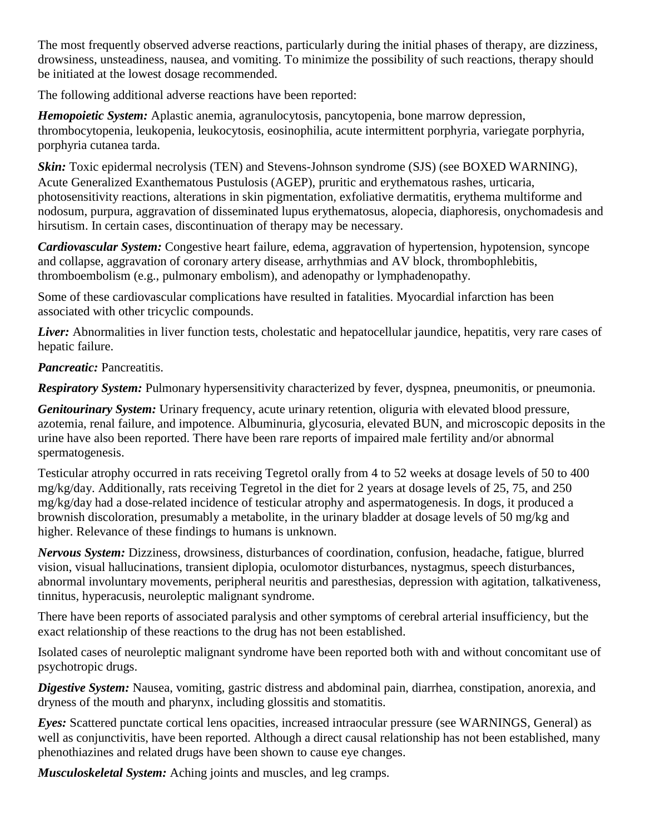The most frequently observed adverse reactions, particularly during the initial phases of therapy, are dizziness, drowsiness, unsteadiness, nausea, and vomiting. To minimize the possibility of such reactions, therapy should be initiated at the lowest dosage recommended.

The following additional adverse reactions have been reported:

*Hemopoietic System:* Aplastic anemia, agranulocytosis, pancytopenia, bone marrow depression, thrombocytopenia, leukopenia, leukocytosis, eosinophilia, acute intermittent porphyria, variegate porphyria, porphyria cutanea tarda.

*Skin*: Toxic epidermal necrolysis (TEN) and Stevens-Johnson syndrome (SJS) (see BOXED WARNING), Acute Generalized Exanthematous Pustulosis (AGEP), pruritic and erythematous rashes, urticaria, photosensitivity reactions, alterations in skin pigmentation, exfoliative dermatitis, erythema multiforme and nodosum, purpura, aggravation of disseminated lupus erythematosus, alopecia, diaphoresis, onychomadesis and hirsutism. In certain cases, discontinuation of therapy may be necessary.

*Cardiovascular System:* Congestive heart failure, edema, aggravation of hypertension, hypotension, syncope and collapse, aggravation of coronary artery disease, arrhythmias and AV block, thrombophlebitis, thromboembolism (e.g., pulmonary embolism), and adenopathy or lymphadenopathy.

Some of these cardiovascular complications have resulted in fatalities. Myocardial infarction has been associated with other tricyclic compounds.

*Liver*: Abnormalities in liver function tests, cholestatic and hepatocellular jaundice, hepatitis, very rare cases of hepatic failure.

*Pancreatic:* Pancreatitis.

*Respiratory System:* Pulmonary hypersensitivity characterized by fever, dyspnea, pneumonitis, or pneumonia.

*Genitourinary System:* Urinary frequency, acute urinary retention, oliguria with elevated blood pressure, azotemia, renal failure, and impotence. Albuminuria, glycosuria, elevated BUN, and microscopic deposits in the urine have also been reported. There have been rare reports of impaired male fertility and/or abnormal spermatogenesis.

Testicular atrophy occurred in rats receiving Tegretol orally from 4 to 52 weeks at dosage levels of 50 to 400 mg/kg/day. Additionally, rats receiving Tegretol in the diet for 2 years at dosage levels of 25, 75, and 250 mg/kg/day had a dose-related incidence of testicular atrophy and aspermatogenesis. In dogs, it produced a brownish discoloration, presumably a metabolite, in the urinary bladder at dosage levels of 50 mg/kg and higher. Relevance of these findings to humans is unknown.

*Nervous System:* Dizziness, drowsiness, disturbances of coordination, confusion, headache, fatigue, blurred vision, visual hallucinations, transient diplopia, oculomotor disturbances, nystagmus, speech disturbances, abnormal involuntary movements, peripheral neuritis and paresthesias, depression with agitation, talkativeness, tinnitus, hyperacusis, neuroleptic malignant syndrome.

There have been reports of associated paralysis and other symptoms of cerebral arterial insufficiency, but the exact relationship of these reactions to the drug has not been established.

Isolated cases of neuroleptic malignant syndrome have been reported both with and without concomitant use of psychotropic drugs.

*Digestive System:* Nausea, vomiting, gastric distress and abdominal pain, diarrhea, constipation, anorexia, and dryness of the mouth and pharynx, including glossitis and stomatitis.

*Eyes:* Scattered punctate cortical lens opacities, increased intraocular pressure (see WARNINGS, General) as well as conjunctivitis, have been reported. Although a direct causal relationship has not been established, many phenothiazines and related drugs have been shown to cause eye changes.

*Musculoskeletal System:* Aching joints and muscles, and leg cramps.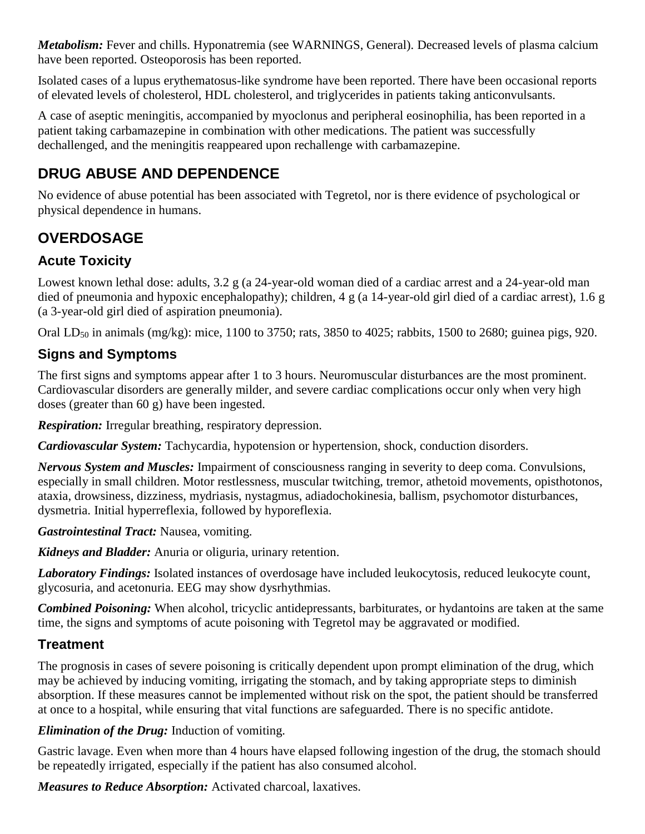*Metabolism:* Fever and chills. Hyponatremia (see WARNINGS, General). Decreased levels of plasma calcium have been reported. Osteoporosis has been reported.

Isolated cases of a lupus erythematosus-like syndrome have been reported. There have been occasional reports of elevated levels of cholesterol, HDL cholesterol, and triglycerides in patients taking anticonvulsants.

A case of aseptic meningitis, accompanied by myoclonus and peripheral eosinophilia, has been reported in a patient taking carbamazepine in combination with other medications. The patient was successfully dechallenged, and the meningitis reappeared upon rechallenge with carbamazepine.

# **DRUG ABUSE AND DEPENDENCE**

No evidence of abuse potential has been associated with Tegretol, nor is there evidence of psychological or physical dependence in humans.

# **OVERDOSAGE**

# **Acute Toxicity**

Lowest known lethal dose: adults,  $3.2 \text{ g}$  (a 24-year-old woman died of a cardiac arrest and a 24-year-old man died of pneumonia and hypoxic encephalopathy); children, 4 g (a 14-year-old girl died of a cardiac arrest), 1.6 g (a 3-year-old girl died of aspiration pneumonia).

Oral LD<sup>50</sup> in animals (mg/kg): mice, 1100 to 3750; rats, 3850 to 4025; rabbits, 1500 to 2680; guinea pigs, 920.

# **Signs and Symptoms**

The first signs and symptoms appear after 1 to 3 hours. Neuromuscular disturbances are the most prominent. Cardiovascular disorders are generally milder, and severe cardiac complications occur only when very high doses (greater than 60 g) have been ingested.

*Respiration:* Irregular breathing, respiratory depression.

*Cardiovascular System:* Tachycardia, hypotension or hypertension, shock, conduction disorders.

*Nervous System and Muscles:* Impairment of consciousness ranging in severity to deep coma. Convulsions, especially in small children. Motor restlessness, muscular twitching, tremor, athetoid movements, opisthotonos, ataxia, drowsiness, dizziness, mydriasis, nystagmus, adiadochokinesia, ballism, psychomotor disturbances, dysmetria. Initial hyperreflexia, followed by hyporeflexia.

*Gastrointestinal Tract:* Nausea, vomiting.

*Kidneys and Bladder:* Anuria or oliguria, urinary retention.

*Laboratory Findings:* Isolated instances of overdosage have included leukocytosis, reduced leukocyte count, glycosuria, and acetonuria. EEG may show dysrhythmias.

*Combined Poisoning:* When alcohol, tricyclic antidepressants, barbiturates, or hydantoins are taken at the same time, the signs and symptoms of acute poisoning with Tegretol may be aggravated or modified.

# **Treatment**

The prognosis in cases of severe poisoning is critically dependent upon prompt elimination of the drug, which may be achieved by inducing vomiting, irrigating the stomach, and by taking appropriate steps to diminish absorption. If these measures cannot be implemented without risk on the spot, the patient should be transferred at once to a hospital, while ensuring that vital functions are safeguarded. There is no specific antidote.

*Elimination of the Drug:* Induction of vomiting.

Gastric lavage. Even when more than 4 hours have elapsed following ingestion of the drug, the stomach should be repeatedly irrigated, especially if the patient has also consumed alcohol.

*Measures to Reduce Absorption:* Activated charcoal, laxatives.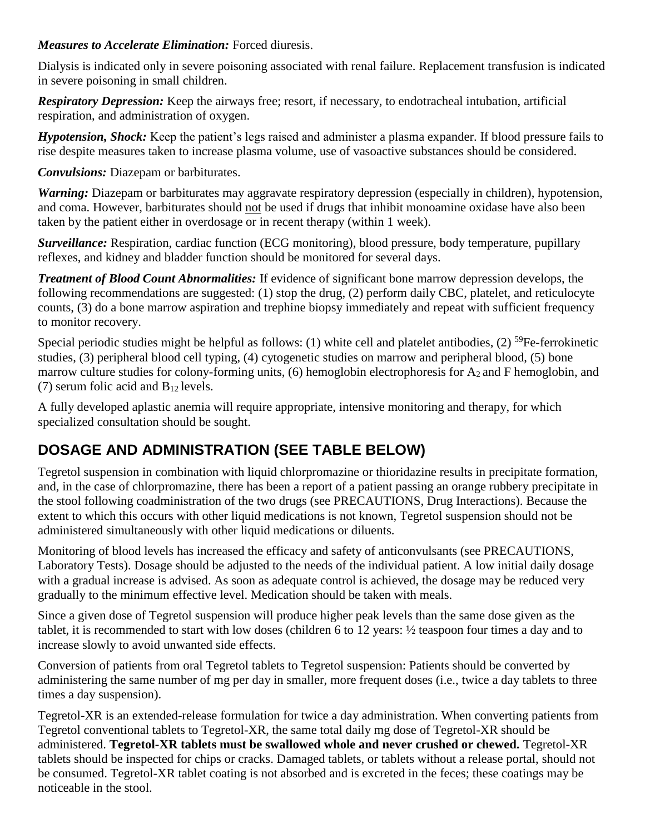### *Measures to Accelerate Elimination:* Forced diuresis.

Dialysis is indicated only in severe poisoning associated with renal failure. Replacement transfusion is indicated in severe poisoning in small children.

*Respiratory Depression:* Keep the airways free; resort, if necessary, to endotracheal intubation, artificial respiration, and administration of oxygen.

*Hypotension, Shock:* Keep the patient's legs raised and administer a plasma expander. If blood pressure fails to rise despite measures taken to increase plasma volume, use of vasoactive substances should be considered.

*Convulsions:* Diazepam or barbiturates.

*Warning:* Diazepam or barbiturates may aggravate respiratory depression (especially in children), hypotension, and coma. However, barbiturates should not be used if drugs that inhibit monoamine oxidase have also been taken by the patient either in overdosage or in recent therapy (within 1 week).

*Surveillance:* Respiration, cardiac function (ECG monitoring), blood pressure, body temperature, pupillary reflexes, and kidney and bladder function should be monitored for several days.

*Treatment of Blood Count Abnormalities:* If evidence of significant bone marrow depression develops, the following recommendations are suggested: (1) stop the drug, (2) perform daily CBC, platelet, and reticulocyte counts, (3) do a bone marrow aspiration and trephine biopsy immediately and repeat with sufficient frequency to monitor recovery.

Special periodic studies might be helpful as follows: (1) white cell and platelet antibodies, (2)  $^{59}$ Fe-ferrokinetic studies, (3) peripheral blood cell typing, (4) cytogenetic studies on marrow and peripheral blood, (5) bone marrow culture studies for colony-forming units,  $(6)$  hemoglobin electrophoresis for  $A_2$  and F hemoglobin, and (7) serum folic acid and  $B_{12}$  levels.

A fully developed aplastic anemia will require appropriate, intensive monitoring and therapy, for which specialized consultation should be sought.

# **DOSAGE AND ADMINISTRATION (SEE TABLE BELOW)**

Tegretol suspension in combination with liquid chlorpromazine or thioridazine results in precipitate formation, and, in the case of chlorpromazine, there has been a report of a patient passing an orange rubbery precipitate in the stool following coadministration of the two drugs (see PRECAUTIONS, Drug Interactions). Because the extent to which this occurs with other liquid medications is not known, Tegretol suspension should not be administered simultaneously with other liquid medications or diluents.

Monitoring of blood levels has increased the efficacy and safety of anticonvulsants (see PRECAUTIONS, Laboratory Tests). Dosage should be adjusted to the needs of the individual patient. A low initial daily dosage with a gradual increase is advised. As soon as adequate control is achieved, the dosage may be reduced very gradually to the minimum effective level. Medication should be taken with meals.

Since a given dose of Tegretol suspension will produce higher peak levels than the same dose given as the tablet, it is recommended to start with low doses (children 6 to 12 years: ½ teaspoon four times a day and to increase slowly to avoid unwanted side effects.

Conversion of patients from oral Tegretol tablets to Tegretol suspension: Patients should be converted by administering the same number of mg per day in smaller, more frequent doses (i.e., twice a day tablets to three times a day suspension).

Tegretol-XR is an extended-release formulation for twice a day administration. When converting patients from Tegretol conventional tablets to Tegretol-XR, the same total daily mg dose of Tegretol-XR should be administered. **Tegretol-XR tablets must be swallowed whole and never crushed or chewed.** Tegretol-XR tablets should be inspected for chips or cracks. Damaged tablets, or tablets without a release portal, should not be consumed. Tegretol-XR tablet coating is not absorbed and is excreted in the feces; these coatings may be noticeable in the stool.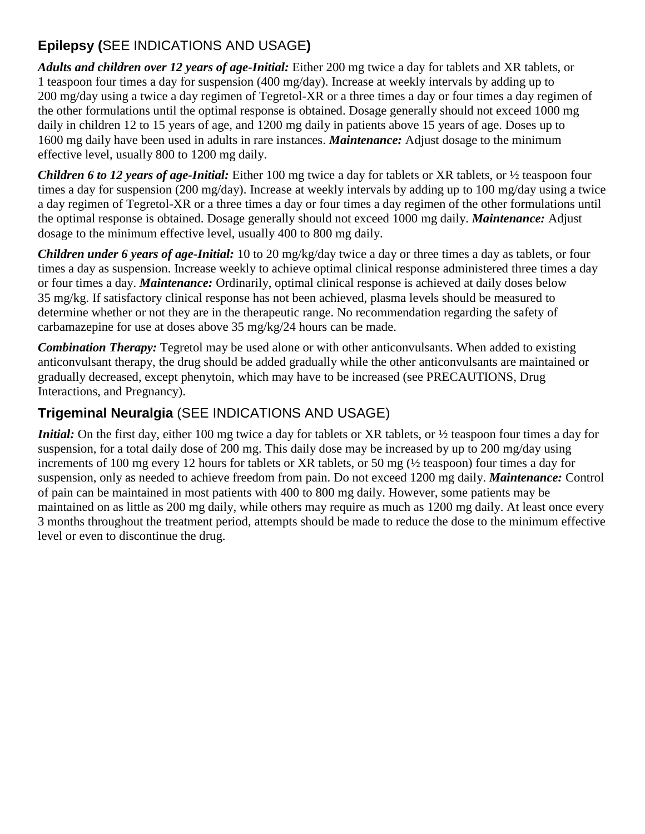# **Epilepsy (**SEE INDICATIONS AND USAGE**)**

*Adults and children over 12 years of age-Initial:* Either 200 mg twice a day for tablets and XR tablets, or 1 teaspoon four times a day for suspension (400 mg/day). Increase at weekly intervals by adding up to 200 mg/day using a twice a day regimen of Tegretol-XR or a three times a day or four times a day regimen of the other formulations until the optimal response is obtained. Dosage generally should not exceed 1000 mg daily in children 12 to 15 years of age, and 1200 mg daily in patients above 15 years of age. Doses up to 1600 mg daily have been used in adults in rare instances. *Maintenance:* Adjust dosage to the minimum effective level, usually 800 to 1200 mg daily.

*Children 6 to 12 years of age-Initial:* Either 100 mg twice a day for tablets or XR tablets, or ½ teaspoon four times a day for suspension (200 mg/day). Increase at weekly intervals by adding up to 100 mg/day using a twice a day regimen of Tegretol-XR or a three times a day or four times a day regimen of the other formulations until the optimal response is obtained. Dosage generally should not exceed 1000 mg daily. *Maintenance:* Adjust dosage to the minimum effective level, usually 400 to 800 mg daily.

*Children under 6 years of age-Initial:* 10 to 20 mg/kg/day twice a day or three times a day as tablets, or four times a day as suspension. Increase weekly to achieve optimal clinical response administered three times a day or four times a day. *Maintenance:* Ordinarily, optimal clinical response is achieved at daily doses below 35 mg/kg. If satisfactory clinical response has not been achieved, plasma levels should be measured to determine whether or not they are in the therapeutic range. No recommendation regarding the safety of carbamazepine for use at doses above 35 mg/kg/24 hours can be made.

*Combination Therapy:* Tegretol may be used alone or with other anticonvulsants. When added to existing anticonvulsant therapy, the drug should be added gradually while the other anticonvulsants are maintained or gradually decreased, except phenytoin, which may have to be increased (see PRECAUTIONS, Drug Interactions, and Pregnancy).

# **Trigeminal Neuralgia** (SEE INDICATIONS AND USAGE)

*Initial:* On the first day, either 100 mg twice a day for tablets or XR tablets, or  $\frac{1}{2}$  teaspoon four times a day for suspension, for a total daily dose of 200 mg. This daily dose may be increased by up to 200 mg/day using increments of 100 mg every 12 hours for tablets or XR tablets, or 50 mg (½ teaspoon) four times a day for suspension, only as needed to achieve freedom from pain. Do not exceed 1200 mg daily. *Maintenance:* Control of pain can be maintained in most patients with 400 to 800 mg daily. However, some patients may be maintained on as little as 200 mg daily, while others may require as much as 1200 mg daily. At least once every 3 months throughout the treatment period, attempts should be made to reduce the dose to the minimum effective level or even to discontinue the drug.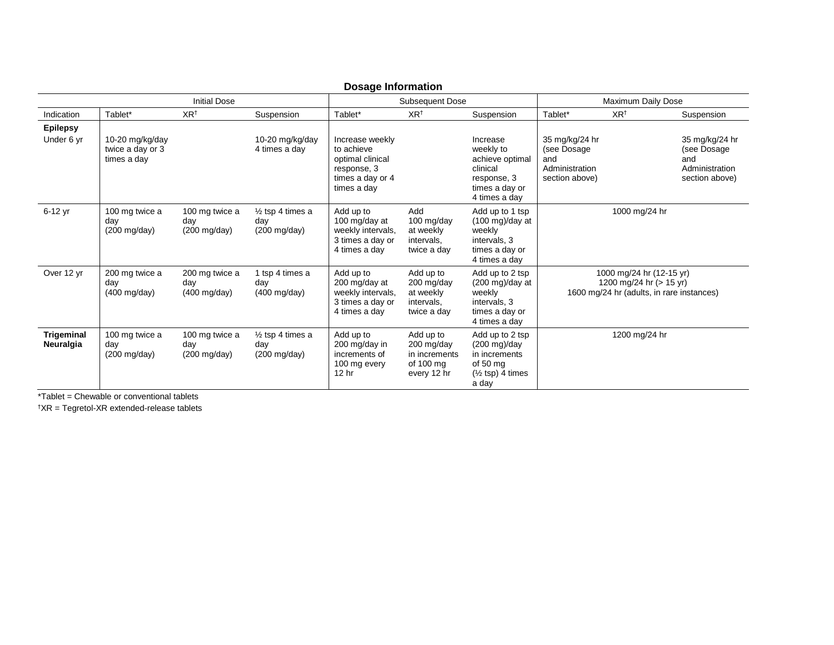|                                | <b>DUSAYE INTUINITION</b>                          |                                                 |                                                              |                                                                                                     |                                                                      |                                                                                                                           |                                                                                                     |                 |                                                                           |  |
|--------------------------------|----------------------------------------------------|-------------------------------------------------|--------------------------------------------------------------|-----------------------------------------------------------------------------------------------------|----------------------------------------------------------------------|---------------------------------------------------------------------------------------------------------------------------|-----------------------------------------------------------------------------------------------------|-----------------|---------------------------------------------------------------------------|--|
| <b>Initial Dose</b>            |                                                    |                                                 |                                                              | Subsequent Dose                                                                                     |                                                                      |                                                                                                                           | Maximum Daily Dose                                                                                  |                 |                                                                           |  |
| Indication                     | Tablet*                                            | XR <sup>+</sup>                                 | Suspension                                                   | Tablet*                                                                                             | XR <sup>+</sup>                                                      | Suspension                                                                                                                | Tablet*                                                                                             | XR <sup>t</sup> | Suspension                                                                |  |
| <b>Epilepsy</b><br>Under 6 yr  | 10-20 mg/kg/day<br>twice a day or 3<br>times a day |                                                 | 10-20 mg/kg/day<br>4 times a day                             | Increase weekly<br>to achieve<br>optimal clinical<br>response, 3<br>times a day or 4<br>times a day |                                                                      | Increase<br>weekly to<br>achieve optimal<br>clinical<br>response, 3<br>times a day or<br>4 times a day                    | 35 mg/kg/24 hr<br>(see Dosage)<br>and<br>Administration<br>section above)                           |                 | 35 mg/kg/24 hr<br>(see Dosage)<br>and<br>Administration<br>section above) |  |
| 6-12 yr                        | 100 mg twice a<br>day<br>(200 mg/day)              | 100 mg twice a<br>day<br>(200 mg/day)           | $\frac{1}{2}$ tsp 4 times a<br>day<br>$(200 \text{ mg/day})$ | Add up to<br>100 mg/day at<br>weekly intervals,<br>3 times a day or<br>4 times a day                | Add<br>100 mg/day<br>at weekly<br>intervals,<br>twice a day          | Add up to 1 tsp<br>$(100 \text{ mg})$ /day at<br>weekly<br>intervals, 3<br>times a day or<br>4 times a day                |                                                                                                     | 1000 mg/24 hr   |                                                                           |  |
| Over 12 yr                     | 200 mg twice a<br>day<br>$(400 \text{ mg/day})$    | 200 mg twice a<br>day<br>(400 mg/day)           | 1 tsp 4 times a<br>day<br>$(400 \text{ mg/day})$             | Add up to<br>200 mg/day at<br>weekly intervals,<br>3 times a day or<br>4 times a day                | Add up to<br>200 mg/day<br>at weekly<br>intervals,<br>twice a day    | Add up to 2 tsp<br>$(200 \text{ mg})$ /day at<br>weekly<br>intervals, 3<br>times a day or<br>4 times a day                | 1000 mg/24 hr (12-15 yr)<br>1200 mg/24 hr ( $> 15$ yr)<br>1600 mg/24 hr (adults, in rare instances) |                 |                                                                           |  |
| <b>Trigeminal</b><br>Neuralgia | 100 mg twice a<br>day<br>$(200 \text{ mg/day})$    | 100 mg twice a<br>day<br>$(200 \text{ mg/day})$ | $\frac{1}{2}$ tsp 4 times a<br>day<br>$(200 \text{ mg/day})$ | Add up to<br>200 mg/day in<br>increments of<br>100 mg every<br>12 hr                                | Add up to<br>200 mg/day<br>in increments<br>of 100 mg<br>every 12 hr | Add up to 2 tsp<br>$(200 \text{ mg})$ /day<br>in increments<br>of 50 $mg$<br>$(\frac{1}{2} \text{ tsp})$ 4 times<br>a day | 1200 mg/24 hr                                                                                       |                 |                                                                           |  |

\*Tablet = Chewable or conventional tablets

†XR = Tegretol-XR extended-release tablets

### **Dosage Information**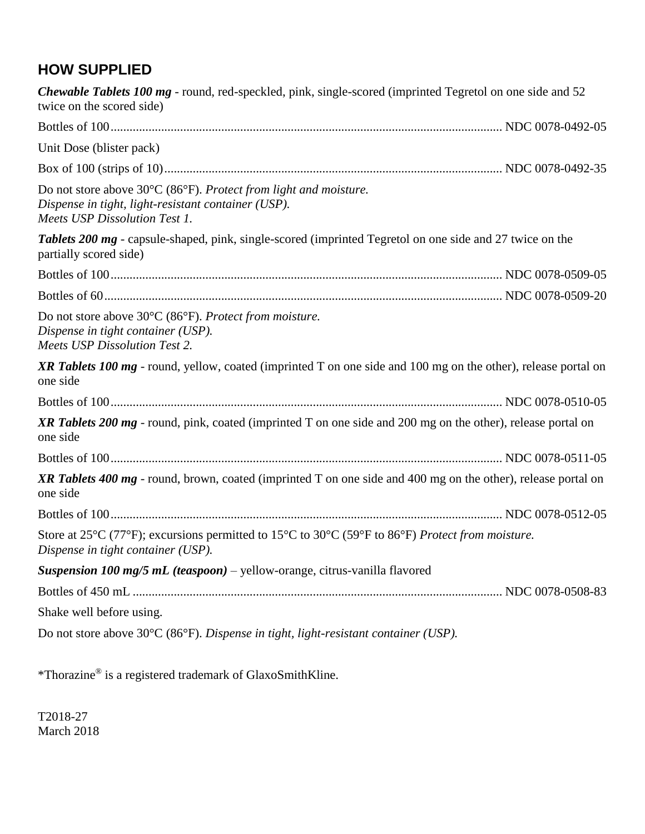# **HOW SUPPLIED**

| <b>Chewable Tablets 100 mg</b> - round, red-speckled, pink, single-scored (imprinted Tegretol on one side and 52<br>twice on the scored side)                                 |
|-------------------------------------------------------------------------------------------------------------------------------------------------------------------------------|
|                                                                                                                                                                               |
| Unit Dose (blister pack)                                                                                                                                                      |
|                                                                                                                                                                               |
| Do not store above $30^{\circ}$ C (86 $^{\circ}$ F). Protect from light and moisture.<br>Dispense in tight, light-resistant container (USP).<br>Meets USP Dissolution Test 1. |
| Tablets 200 mg - capsule-shaped, pink, single-scored (imprinted Tegretol on one side and 27 twice on the<br>partially scored side)                                            |
|                                                                                                                                                                               |
|                                                                                                                                                                               |
| Do not store above $30^{\circ}$ C (86 $^{\circ}$ F). Protect from moisture.<br>Dispense in tight container (USP).<br><b>Meets USP Dissolution Test 2.</b>                     |
| XR Tablets 100 $mg$ - round, yellow, coated (imprinted T on one side and 100 mg on the other), release portal on<br>one side                                                  |
|                                                                                                                                                                               |
| XR Tablets 200 mg - round, pink, coated (imprinted T on one side and 200 mg on the other), release portal on<br>one side                                                      |
|                                                                                                                                                                               |
| XR Tablets 400 $mg$ - round, brown, coated (imprinted T on one side and 400 mg on the other), release portal on<br>one side                                                   |
|                                                                                                                                                                               |
| Store at 25°C (77°F); excursions permitted to 15°C to 30°C (59°F to 86°F) Protect from moisture.<br>Dispense in tight container (USP).                                        |
| Suspension 100 mg/5 mL (teaspoon) – yellow-orange, citrus-vanilla flavored                                                                                                    |
|                                                                                                                                                                               |
| Shake well before using.                                                                                                                                                      |
| Do not store above 30°C (86°F). Dispense in tight, light-resistant container (USP).                                                                                           |

\*Thorazine® is a registered trademark of GlaxoSmithKline.

T2018-27 March 2018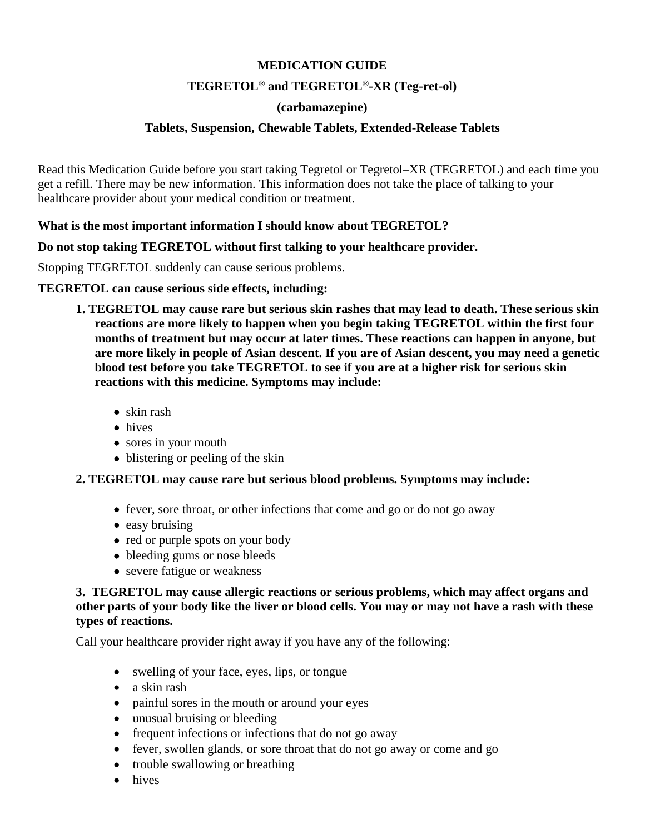### **MEDICATION GUIDE**

### **TEGRETOL® and TEGRETOL®-XR (Teg-ret-ol)**

### **(carbamazepine)**

### **Tablets, Suspension, Chewable Tablets, Extended-Release Tablets**

Read this Medication Guide before you start taking Tegretol or Tegretol–XR (TEGRETOL) and each time you get a refill. There may be new information. This information does not take the place of talking to your healthcare provider about your medical condition or treatment.

### **What is the most important information I should know about TEGRETOL?**

### **Do not stop taking TEGRETOL without first talking to your healthcare provider.**

Stopping TEGRETOL suddenly can cause serious problems.

### **TEGRETOL can cause serious side effects, including:**

- **1. TEGRETOL may cause rare but serious skin rashes that may lead to death. These serious skin reactions are more likely to happen when you begin taking TEGRETOL within the first four months of treatment but may occur at later times. These reactions can happen in anyone, but are more likely in people of Asian descent. If you are of Asian descent, you may need a genetic blood test before you take TEGRETOL to see if you are at a higher risk for serious skin reactions with this medicine. Symptoms may include:**
	- skin rash
	- hives
	- sores in your mouth
	- blistering or peeling of the skin

#### **2. TEGRETOL may cause rare but serious blood problems. Symptoms may include:**

- fever, sore throat, or other infections that come and go or do not go away
- easy bruising
- red or purple spots on your body
- bleeding gums or nose bleeds
- severe fatigue or weakness

### **3. TEGRETOL may cause allergic reactions or serious problems, which may affect organs and other parts of your body like the liver or blood cells. You may or may not have a rash with these types of reactions.**

Call your healthcare provider right away if you have any of the following:

- swelling of your face, eyes, lips, or tongue
- $\bullet$  a skin rash
- painful sores in the mouth or around your eyes
- unusual bruising or bleeding
- frequent infections or infections that do not go away
- fever, swollen glands, or sore throat that do not go away or come and go
- trouble swallowing or breathing
- hives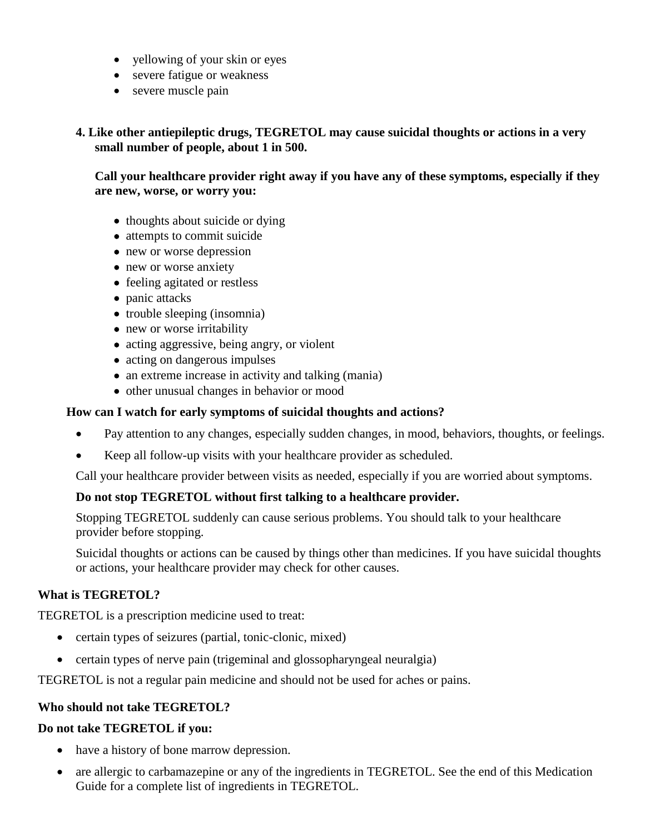- yellowing of your skin or eyes
- severe fatigue or weakness
- severe muscle pain

**4. Like other antiepileptic drugs, TEGRETOL may cause suicidal thoughts or actions in a very small number of people, about 1 in 500.**

**Call your healthcare provider right away if you have any of these symptoms, especially if they are new, worse, or worry you:**

- thoughts about suicide or dying
- attempts to commit suicide
- new or worse depression
- new or worse anxiety
- feeling agitated or restless
- panic attacks
- trouble sleeping (insomnia)
- new or worse irritability
- acting aggressive, being angry, or violent
- acting on dangerous impulses
- an extreme increase in activity and talking (mania)
- other unusual changes in behavior or mood

### **How can I watch for early symptoms of suicidal thoughts and actions?**

- Pay attention to any changes, especially sudden changes, in mood, behaviors, thoughts, or feelings.
- Keep all follow-up visits with your healthcare provider as scheduled.

Call your healthcare provider between visits as needed, especially if you are worried about symptoms.

### **Do not stop TEGRETOL without first talking to a healthcare provider.**

Stopping TEGRETOL suddenly can cause serious problems. You should talk to your healthcare provider before stopping.

Suicidal thoughts or actions can be caused by things other than medicines. If you have suicidal thoughts or actions, your healthcare provider may check for other causes.

### **What is TEGRETOL?**

TEGRETOL is a prescription medicine used to treat:

- certain types of seizures (partial, tonic-clonic, mixed)
- certain types of nerve pain (trigeminal and glossopharyngeal neuralgia)

TEGRETOL is not a regular pain medicine and should not be used for aches or pains.

### **Who should not take TEGRETOL?**

#### **Do not take TEGRETOL if you:**

- have a history of bone marrow depression.
- are allergic to carbamazepine or any of the ingredients in TEGRETOL. See the end of this Medication Guide for a complete list of ingredients in TEGRETOL.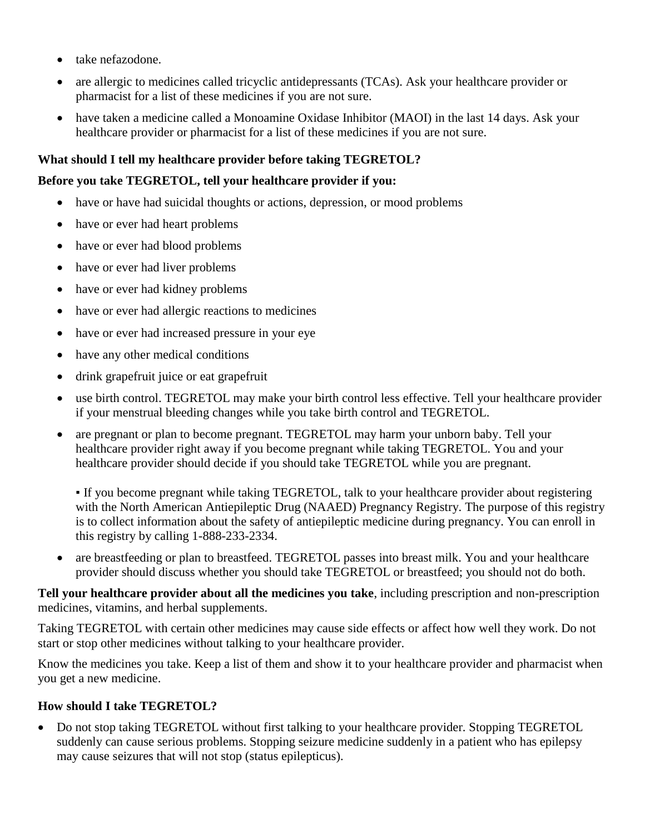- take nefazodone.
- are allergic to medicines called tricyclic antidepressants (TCAs). Ask your healthcare provider or pharmacist for a list of these medicines if you are not sure.
- have taken a medicine called a Monoamine Oxidase Inhibitor (MAOI) in the last 14 days. Ask your healthcare provider or pharmacist for a list of these medicines if you are not sure.

### **What should I tell my healthcare provider before taking TEGRETOL?**

#### **Before you take TEGRETOL, tell your healthcare provider if you:**

- have or have had suicidal thoughts or actions, depression, or mood problems
- have or ever had heart problems
- have or ever had blood problems
- have or ever had liver problems
- have or ever had kidney problems
- have or ever had allergic reactions to medicines
- have or ever had increased pressure in your eye
- have any other medical conditions
- drink grapefruit juice or eat grapefruit
- use birth control. TEGRETOL may make your birth control less effective. Tell your healthcare provider if your menstrual bleeding changes while you take birth control and TEGRETOL.
- are pregnant or plan to become pregnant. TEGRETOL may harm your unborn baby. Tell your healthcare provider right away if you become pregnant while taking TEGRETOL. You and your healthcare provider should decide if you should take TEGRETOL while you are pregnant.

▪ If you become pregnant while taking TEGRETOL, talk to your healthcare provider about registering with the North American Antiepileptic Drug (NAAED) Pregnancy Registry. The purpose of this registry is to collect information about the safety of antiepileptic medicine during pregnancy. You can enroll in this registry by calling 1-888-233-2334.

• are breastfeeding or plan to breastfeed. TEGRETOL passes into breast milk. You and your healthcare provider should discuss whether you should take TEGRETOL or breastfeed; you should not do both.

**Tell your healthcare provider about all the medicines you take**, including prescription and non-prescription medicines, vitamins, and herbal supplements.

Taking TEGRETOL with certain other medicines may cause side effects or affect how well they work. Do not start or stop other medicines without talking to your healthcare provider.

Know the medicines you take. Keep a list of them and show it to your healthcare provider and pharmacist when you get a new medicine.

#### **How should I take TEGRETOL?**

 Do not stop taking TEGRETOL without first talking to your healthcare provider. Stopping TEGRETOL suddenly can cause serious problems. Stopping seizure medicine suddenly in a patient who has epilepsy may cause seizures that will not stop (status epilepticus).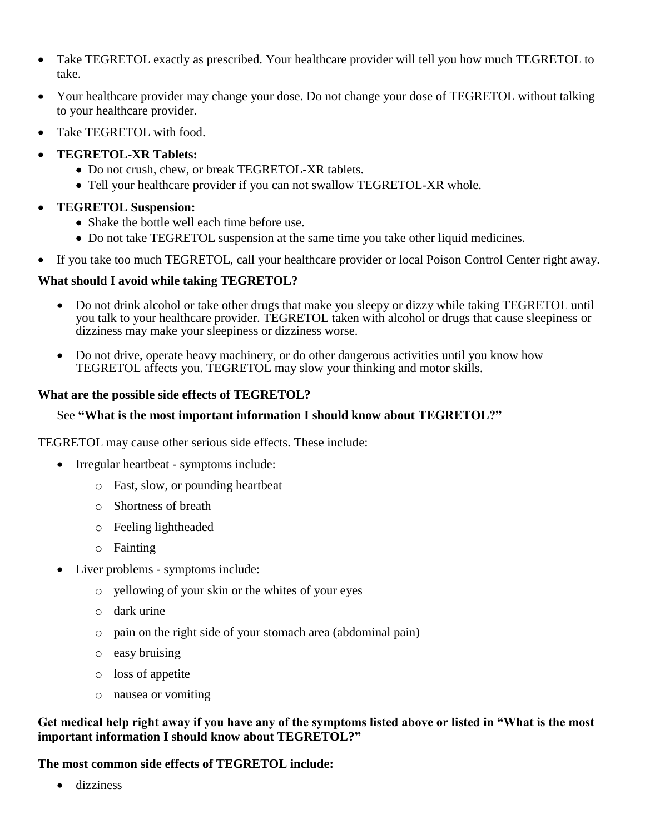- Take TEGRETOL exactly as prescribed. Your healthcare provider will tell you how much TEGRETOL to take.
- Your healthcare provider may change your dose. Do not change your dose of TEGRETOL without talking to your healthcare provider.
- Take TEGRETOL with food.

### **TEGRETOL-XR Tablets:**

- Do not crush, chew, or break TEGRETOL-XR tablets.
- Tell your healthcare provider if you can not swallow TEGRETOL-XR whole.

## **TEGRETOL Suspension:**

- Shake the bottle well each time before use.
- Do not take TEGRETOL suspension at the same time you take other liquid medicines.
- If you take too much TEGRETOL, call your healthcare provider or local Poison Control Center right away.

### **What should I avoid while taking TEGRETOL?**

- Do not drink alcohol or take other drugs that make you sleepy or dizzy while taking TEGRETOL until you talk to your healthcare provider. TEGRETOL taken with alcohol or drugs that cause sleepiness or dizziness may make your sleepiness or dizziness worse.
- Do not drive, operate heavy machinery, or do other dangerous activities until you know how TEGRETOL affects you. TEGRETOL may slow your thinking and motor skills.

### **What are the possible side effects of TEGRETOL?**

### See **"What is the most important information I should know about TEGRETOL?"**

TEGRETOL may cause other serious side effects. These include:

- Irregular heartbeat symptoms include:
	- o Fast, slow, or pounding heartbeat
	- o Shortness of breath
	- o Feeling lightheaded
	- o Fainting
- Liver problems symptoms include:
	- o yellowing of your skin or the whites of your eyes
	- o dark urine
	- o pain on the right side of your stomach area (abdominal pain)
	- o easy bruising
	- o loss of appetite
	- o nausea or vomiting

### **Get medical help right away if you have any of the symptoms listed above or listed in "What is the most important information I should know about TEGRETOL?"**

### **The most common side effects of TEGRETOL include:**

• dizziness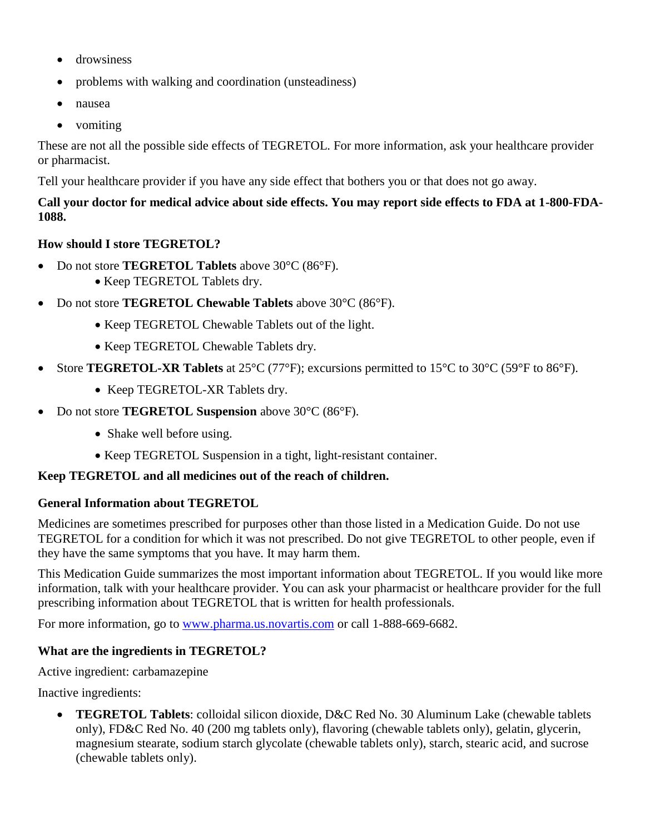- drowsiness
- problems with walking and coordination (unsteadiness)
- nausea
- vomiting

These are not all the possible side effects of TEGRETOL. For more information, ask your healthcare provider or pharmacist.

Tell your healthcare provider if you have any side effect that bothers you or that does not go away.

### **Call your doctor for medical advice about side effects. You may report side effects to FDA at 1-800-FDA-1088.**

## **How should I store TEGRETOL?**

- Do not store **TEGRETOL Tablets** above 30°C (86°F).
	- Keep TEGRETOL Tablets dry.
- Do not store **TEGRETOL Chewable Tablets** above 30°C (86°F).
	- Keep TEGRETOL Chewable Tablets out of the light.
	- Keep TEGRETOL Chewable Tablets dry.
- Store **TEGRETOL-XR Tablets** at 25°C (77°F); excursions permitted to 15°C to 30°C (59°F to 86°F).
	- Keep TEGRETOL-XR Tablets dry.
- Do not store **TEGRETOL Suspension** above 30°C (86°F).
	- Shake well before using.
	- Keep TEGRETOL Suspension in a tight, light-resistant container.

## **Keep TEGRETOL and all medicines out of the reach of children.**

## **General Information about TEGRETOL**

Medicines are sometimes prescribed for purposes other than those listed in a Medication Guide. Do not use TEGRETOL for a condition for which it was not prescribed. Do not give TEGRETOL to other people, even if they have the same symptoms that you have. It may harm them.

This Medication Guide summarizes the most important information about TEGRETOL. If you would like more information, talk with your healthcare provider. You can ask your pharmacist or healthcare provider for the full prescribing information about TEGRETOL that is written for health professionals*.*

For more information, go to www.pharma.us.novartis.com or call 1-888-669-6682.

## **What are the ingredients in TEGRETOL?**

Active ingredient: carbamazepine

Inactive ingredients:

 **TEGRETOL Tablets**: colloidal silicon dioxide, D&C Red No. 30 Aluminum Lake (chewable tablets only), FD&C Red No. 40 (200 mg tablets only), flavoring (chewable tablets only), gelatin, glycerin, magnesium stearate, sodium starch glycolate (chewable tablets only), starch, stearic acid, and sucrose (chewable tablets only).